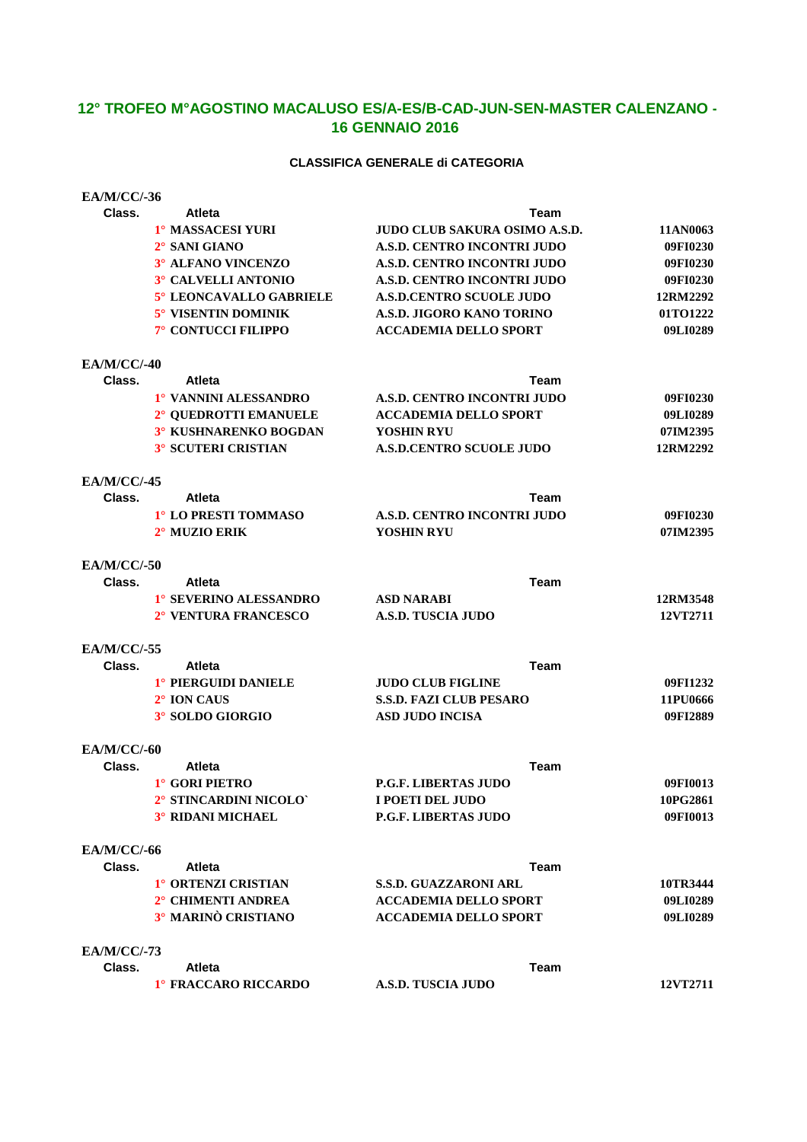# **12° TROFEO M°AGOSTINO MACALUSO ES/A-ES/B-CAD-JUN-SEN-MASTER CALENZANO - 16 GENNAIO 2016**

### **CLASSIFICA GENERALE di CATEGORIA**

| <b>EA/M/CC/-36</b> |                            |                                      |          |
|--------------------|----------------------------|--------------------------------------|----------|
| Class.             | <b>Atleta</b>              | Team                                 |          |
|                    | 1° MASSACESI YURI          | <b>JUDO CLUB SAKURA OSIMO A.S.D.</b> | 11AN0063 |
|                    | 2° SANI GIANO              | A.S.D. CENTRO INCONTRI JUDO          | 09FI0230 |
|                    | 3° ALFANO VINCENZO         | A.S.D. CENTRO INCONTRI JUDO          | 09FI0230 |
|                    | 3° CALVELLI ANTONIO        | A.S.D. CENTRO INCONTRI JUDO          | 09FI0230 |
|                    | 5° LEONCAVALLO GABRIELE    | <b>A.S.D.CENTRO SCUOLE JUDO</b>      | 12RM2292 |
|                    | 5° VISENTIN DOMINIK        | A.S.D. JIGORO KANO TORINO            | 01TO1222 |
|                    | 7° CONTUCCI FILIPPO        | <b>ACCADEMIA DELLO SPORT</b>         | 09LI0289 |
| <b>EA/M/CC/-40</b> |                            |                                      |          |
| Class.             | <b>Atleta</b>              | Team                                 |          |
|                    | 1° VANNINI ALESSANDRO      | A.S.D. CENTRO INCONTRI JUDO          | 09FI0230 |
|                    | 2° QUEDROTTI EMANUELE      | <b>ACCADEMIA DELLO SPORT</b>         | 09LI0289 |
|                    | 3° KUSHNARENKO BOGDAN      | YOSHIN RYU                           | 07IM2395 |
|                    | <b>3° SCUTERI CRISTIAN</b> | <b>A.S.D.CENTRO SCUOLE JUDO</b>      | 12RM2292 |
| <b>EA/M/CC/-45</b> |                            |                                      |          |
| Class.             | <b>Atleta</b>              | Team                                 |          |
|                    | 1° LO PRESTI TOMMASO       | A.S.D. CENTRO INCONTRI JUDO          | 09FI0230 |
|                    | 2° MUZIO ERIK              | YOSHIN RYU                           | 07IM2395 |
| <b>EA/M/CC/-50</b> |                            |                                      |          |
| Class.             | <b>Atleta</b>              | <b>Team</b>                          |          |
|                    | 1° SEVERINO ALESSANDRO     | <b>ASD NARABI</b>                    | 12RM3548 |
|                    | 2° VENTURA FRANCESCO       | A.S.D. TUSCIA JUDO                   | 12VT2711 |
| <b>EA/M/CC/-55</b> |                            |                                      |          |
| Class.             | <b>Atleta</b>              | <b>Team</b>                          |          |
|                    | 1° PIERGUIDI DANIELE       | <b>JUDO CLUB FIGLINE</b>             | 09FI1232 |
|                    | 2° ION CAUS                | <b>S.S.D. FAZI CLUB PESARO</b>       | 11PU0666 |
|                    | 3° SOLDO GIORGIO           | <b>ASD JUDO INCISA</b>               | 09FI2889 |
| <b>EA/M/CC/-60</b> |                            |                                      |          |
| Class.             | <b>Atleta</b>              | Team                                 |          |
|                    | 1° GORI PIETRO             | <b>P.G.F. LIBERTAS JUDO</b>          | 09FI0013 |
|                    | 2° STINCARDINI NICOLO`     | I POETI DEL JUDO                     | 10PG2861 |
|                    | <b>3° RIDANI MICHAEL</b>   | <b>P.G.F. LIBERTAS JUDO</b>          | 09FI0013 |
| <b>EA/M/CC/-66</b> |                            |                                      |          |
| Class.             | <b>Atleta</b>              | Team                                 |          |
|                    | 1° ORTENZI CRISTIAN        | <b>S.S.D. GUAZZARONI ARL</b>         | 10TR3444 |
|                    | 2° CHIMENTI ANDREA         | <b>ACCADEMIA DELLO SPORT</b>         | 09LI0289 |
|                    | 3° MARINÒ CRISTIANO        | <b>ACCADEMIA DELLO SPORT</b>         | 09LI0289 |
| <b>EA/M/CC/-73</b> |                            |                                      |          |
| Class.             | <b>Atleta</b>              | Team                                 |          |
|                    | 1° FRACCARO RICCARDO       | <b>A.S.D. TUSCIA JUDO</b>            | 12VT2711 |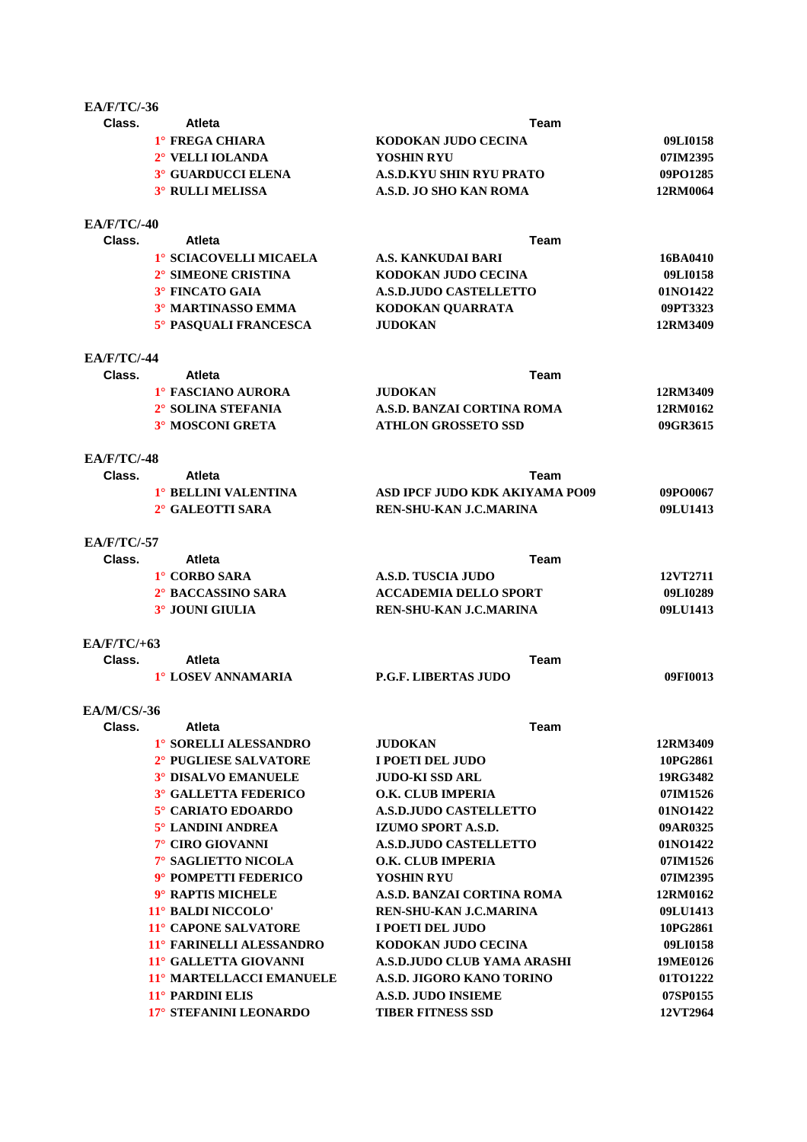| <b>EA/F/TC/-36</b> |                                           |                                 |          |
|--------------------|-------------------------------------------|---------------------------------|----------|
| Class.             | <b>Atleta</b>                             | Team                            |          |
|                    | <sup>1</sup> ° FREGA CHIARA               | KODOKAN JUDO CECINA             | 09LI0158 |
|                    | 2° VELLI IOLANDA                          | YOSHIN RYU                      | 07IM2395 |
|                    | <sup>3</sup> <sup>°</sup> GUARDUCCI ELENA | <b>A.S.D.KYU SHIN RYU PRATO</b> | 09PO1285 |
|                    | 3° RULLI MELISSA                          | A.S.D. JO SHO KAN ROMA          | 12RM0064 |
| $EA/F/TC/-40$      |                                           |                                 |          |
| Class.             | <b>Atleta</b>                             | <b>Team</b>                     |          |
|                    | 1° SCIACOVELLI MICAELA                    | A.S. KANKUDAI BARI              | 16BA0410 |
|                    | 2° SIMEONE CRISTINA                       | KODOKAN JUDO CECINA             | 09LI0158 |
|                    | 3° FINCATO GAIA                           | <b>A.S.D.JUDO CASTELLETTO</b>   | 01NO1422 |
|                    | 3° MARTINASSO EMMA                        | KODOKAN QUARRATA                | 09PT3323 |
|                    | 5° PASQUALI FRANCESCA                     | <b>JUDOKAN</b>                  | 12RM3409 |
| <b>EA/F/TC/-44</b> |                                           |                                 |          |
| Class.             | <b>Atleta</b>                             | Team                            |          |
|                    | 1° FASCIANO AURORA                        | <b>JUDOKAN</b>                  | 12RM3409 |
|                    | 2° SOLINA STEFANIA                        | A.S.D. BANZAI CORTINA ROMA      | 12RM0162 |
|                    | 3° MOSCONI GRETA                          | <b>ATHLON GROSSETO SSD</b>      | 09GR3615 |
| <b>EA/F/TC/-48</b> |                                           |                                 |          |
| Class.             | <b>Atleta</b>                             | Team                            |          |
|                    | 1° BELLINI VALENTINA                      | ASD IPCF JUDO KDK AKIYAMA PO09  | 09PO0067 |
|                    | 2° GALEOTTI SARA                          | REN-SHU-KAN J.C.MARINA          | 09LU1413 |
| $E_A/F/TC/-57$     |                                           |                                 |          |
| Class.             | <b>Atleta</b>                             | <b>Team</b>                     |          |
|                    | 1° CORBO SARA                             | <b>A.S.D. TUSCIA JUDO</b>       | 12VT2711 |
|                    | 2° BACCASSINO SARA                        | <b>ACCADEMIA DELLO SPORT</b>    | 09LI0289 |
|                    | 3° JOUNI GIULIA                           | REN-SHU-KAN J.C.MARINA          | 09LU1413 |
| $EA/F/TC/+63$      |                                           |                                 |          |
| Class.             | <b>Atleta</b>                             | Team                            |          |
|                    | 1° LOSEV ANNAMARIA                        | <b>P.G.F. LIBERTAS JUDO</b>     | 09FI0013 |
| <b>EA/M/CS/-36</b> |                                           |                                 |          |
| Class.             | Atleta                                    | Team                            |          |
|                    | 1° SORELLI ALESSANDRO                     | <b>JUDOKAN</b>                  | 12RM3409 |
|                    | 2° PUGLIESE SALVATORE                     | I POETI DEL JUDO                | 10PG2861 |
|                    | <b>3° DISALVO EMANUELE</b>                | <b>JUDO-KI SSD ARL</b>          | 19RG3482 |
|                    | <b>3° GALLETTA FEDERICO</b>               | <b>O.K. CLUB IMPERIA</b>        | 07IM1526 |
|                    | 5° CARIATO EDOARDO                        | <b>A.S.D.JUDO CASTELLETTO</b>   | 01NO1422 |
|                    | 5° LANDINI ANDREA                         | IZUMO SPORT A.S.D.              | 09AR0325 |
|                    | 7° CIRO GIOVANNI                          | <b>A.S.D.JUDO CASTELLETTO</b>   | 01NO1422 |
|                    | 7° SAGLIETTO NICOLA                       | <b>O.K. CLUB IMPERIA</b>        | 07IM1526 |
|                    | 9° POMPETTI FEDERICO                      | <b>YOSHIN RYU</b>               | 07IM2395 |
|                    | 9° RAPTIS MICHELE                         | A.S.D. BANZAI CORTINA ROMA      | 12RM0162 |
|                    | 11° BALDI NICCOLO'                        | REN-SHU-KAN J.C.MARINA          | 09LU1413 |
|                    | <b>11° CAPONE SALVATORE</b>               | I POETI DEL JUDO                | 10PG2861 |
|                    | 11° FARINELLI ALESSANDRO                  | KODOKAN JUDO CECINA             | 09LI0158 |
|                    | 11° GALLETTA GIOVANNI                     | A.S.D.JUDO CLUB YAMA ARASHI     | 19ME0126 |
|                    | 11° MARTELLACCI EMANUELE                  | A.S.D. JIGORO KANO TORINO       | 01TO1222 |
|                    | 11° PARDINI ELIS                          | <b>A.S.D. JUDO INSIEME</b>      | 07SP0155 |
|                    | 17° STEFANINI LEONARDO                    | <b>TIBER FITNESS SSD</b>        | 12VT2964 |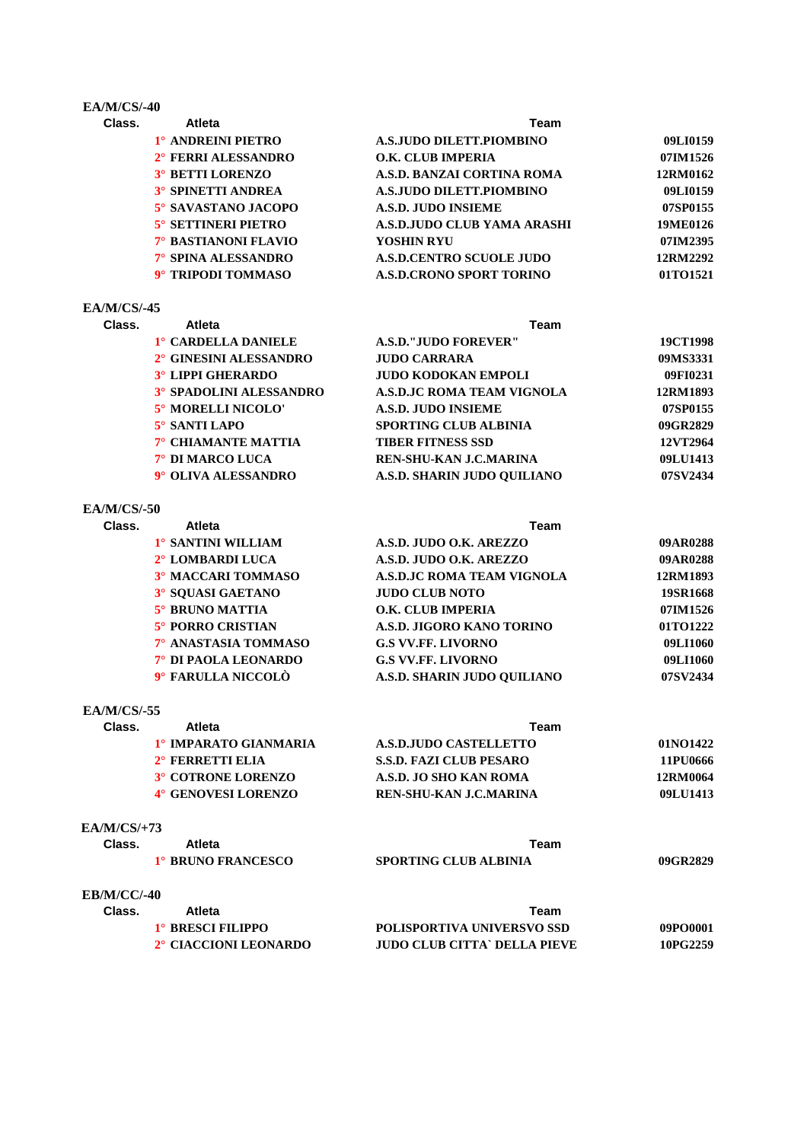### **EA/M/CS/-40**

| Class. | <b>Atleta</b>              | Team                            |          |  |
|--------|----------------------------|---------------------------------|----------|--|
|        | 1° ANDREINI PIETRO         | A.S.JUDO DILETT.PIOMBINO        | 09LI0159 |  |
|        | 2° FERRI ALESSANDRO        | <b>O.K. CLUB IMPERIA</b>        | 07IM1526 |  |
|        | <b>3° BETTI LORENZO</b>    | A.S.D. BANZAI CORTINA ROMA      | 12RM0162 |  |
|        | <b>3° SPINETTI ANDREA</b>  | A.S.JUDO DILETT.PIOMBINO        | 09LI0159 |  |
|        | 5° SAVASTANO JACOPO        | A.S.D. JUDO INSIEME             | 07SP0155 |  |
|        | <b>5° SETTINERI PIETRO</b> | A.S.D.JUDO CLUB YAMA ARASHI     | 19ME0126 |  |
|        | 7° BASTIANONI FLAVIO       | YOSHIN RYU                      | 07IM2395 |  |
|        | 7° SPINA ALESSANDRO        | <b>A.S.D.CENTRO SCUOLE JUDO</b> | 12RM2292 |  |
|        | 9° TRIPODI TOMMASO         | <b>A.S.D.CRONO SPORT TORINO</b> | 01TO1521 |  |
|        |                            |                                 |          |  |

# **EA/M/CS/-45**

| Class. | <b>Atleta</b>                  | Team                          |          |  |
|--------|--------------------------------|-------------------------------|----------|--|
|        | 1° CARDELLA DANIELE            | <b>A.S.D."JUDO FOREVER"</b>   | 19CT1998 |  |
|        | 2° GINESINI ALESSANDRO         | <b>JUDO CARRARA</b>           | 09MS3331 |  |
|        | <b>3° LIPPI GHERARDO</b>       | <b>JUDO KODOKAN EMPOLI</b>    | 09FI0231 |  |
|        | <b>3° SPADOLINI ALESSANDRO</b> | A.S.D.JC ROMA TEAM VIGNOLA    | 12RM1893 |  |
|        | 5° MORELLI NICOLO'             | <b>A.S.D. JUDO INSIEME</b>    | 07SP0155 |  |
|        | 5° SANTI LAPO                  | <b>SPORTING CLUB ALBINIA</b>  | 09GR2829 |  |
|        | 7° CHIAMANTE MATTIA            | <b>TIBER FITNESS SSD</b>      | 12VT2964 |  |
|        | 7° DI MARCO LUCA               | <b>REN-SHU-KAN J.C.MARINA</b> | 09LU1413 |  |
|        | 9° OLIVA ALESSANDRO            | A.S.D. SHARIN JUDO OUILIANO   | 07SV2434 |  |
|        |                                |                               |          |  |

# **EA/M/CS/-50**

| Class. | <b>Atleta</b>             | Team                              |          |  |
|--------|---------------------------|-----------------------------------|----------|--|
|        | 1° SANTINI WILLIAM        | A.S.D. JUDO O.K. AREZZO           | 09AR0288 |  |
|        | 2° LOMBARDI LUCA          | A.S.D. JUDO O.K. AREZZO           | 09AR0288 |  |
|        | <b>3º MACCARI TOMMASO</b> | <b>A.S.D.JC ROMA TEAM VIGNOLA</b> | 12RM1893 |  |
|        | 3° SOUASI GAETANO         | <b>JUDO CLUB NOTO</b>             | 19SR1668 |  |
|        | 5° BRUNO MATTIA           | O.K. CLUB IMPERIA                 | 07IM1526 |  |
|        | <b>5° PORRO CRISTIAN</b>  | A.S.D. JIGORO KANO TORINO         | 01TO1222 |  |
|        | 7° ANASTASIA TOMMASO      | <b>G.S VV.FF. LIVORNO</b>         | 09LI1060 |  |
|        | 7° DI PAOLA LEONARDO      | <b>G.S VV.FF. LIVORNO</b>         | 09LI1060 |  |
|        | 9° FARULLA NICCOLÒ        | A.S.D. SHARIN JUDO OUILIANO       | 07SV2434 |  |

### **EA/M/CS/-55**

| Class. | <b>Atleta</b>           | Team                           |          |
|--------|-------------------------|--------------------------------|----------|
|        | 1° IMPARATO GIANMARIA   | A.S.D.JUDO CASTELLETTO         | 01NO1422 |
|        | $2^\circ$ FERRETTI ELIA | <b>S.S.D. FAZI CLUB PESARO</b> | 11PU0666 |
|        | 3° COTRONE LORENZO      | A.S.D. JO SHO KAN ROMA         | 12RM0064 |
|        | 4° GENOVESI LORENZO     | REN-SHU-KAN J.C.MARINA         | 09LU1413 |

# **EA/M/CS/+73**

| Class.      | Atleta                                   | Team                                |          |
|-------------|------------------------------------------|-------------------------------------|----------|
|             | 1° BRUNO FRANCESCO                       | <b>SPORTING CLUB ALBINIA</b>        | 09GR2829 |
| EB/M/CC/-40 |                                          |                                     |          |
| Class.      | Atleta                                   | Team                                |          |
|             | <sup>1</sup> <sup>°</sup> BRESCI FILIPPO | <b>POLISPORTIVA UNIVERSVO SSD</b>   | 09PO0001 |
|             | 2° CIACCIONI LEONARDO                    | <b>JUDO CLUB CITTA` DELLA PIEVE</b> | 10PG2259 |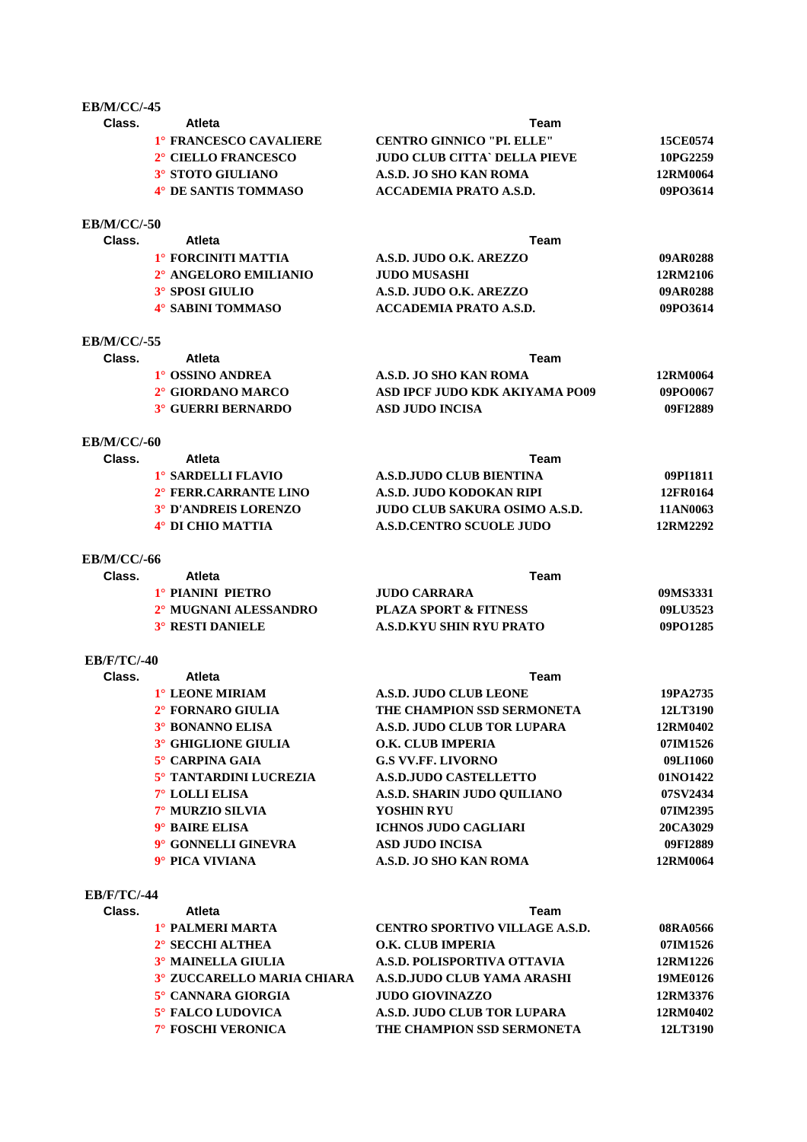### **EB/M/CC/-45**

| Class. | <b>Atleta</b>          | Team                             |                 |
|--------|------------------------|----------------------------------|-----------------|
|        | 1° FRANCESCO CAVALIERE | <b>CENTRO GINNICO "PL. ELLE"</b> | <b>15CE0574</b> |
|        | 2° CIELLO FRANCESCO    | JUDO CLUB CITTA` DELLA PIEVE     | 10PG2259        |
|        | 3° STOTO GIULIANO      | A.S.D. JO SHO KAN ROMA           | 12RM0064        |
|        | 4° DE SANTIS TOMMASO   | ACCADEMIA PRATO A.S.D.           | 09PO3614        |
|        |                        |                                  |                 |

#### **EB/M/CC/-50**

| Class. | Atleta                | Team                    |          |
|--------|-----------------------|-------------------------|----------|
|        | 1° FORCINITI MATTIA   | A.S.D. JUDO O.K. AREZZO | 09AR0288 |
|        | 2° ANGELORO EMILIANIO | JUDO MUSASHI            | 12RM2106 |
|        | 3° SPOSI GIULIO       | A.S.D. JUDO O.K. AREZZO | 09AR0288 |
|        | 4° SABINI TOMMASO     | ACCADEMIA PRATO A.S.D.  | 09PO3614 |
|        |                       |                         |          |

# **EB/M/CC/-55**

| Class. | Atleta                    | Team                           |          |  |
|--------|---------------------------|--------------------------------|----------|--|
|        | 1° OSSINO ANDREA          | A.S.D. JO SHO KAN ROMA         | 12RM0064 |  |
|        | 2° GIORDANO MARCO         | ASD IPCF JUDO KDK AKIYAMA PO09 | 09PO0067 |  |
|        | <b>3° GUERRI BERNARDO</b> | ASD JUDO INCISA                | 09FI2889 |  |
|        |                           |                                |          |  |

# **EB/M/CC/-60**

| <b>Atleta</b>               | Team                                 |          |  |
|-----------------------------|--------------------------------------|----------|--|
| 1° SARDELLI FLAVIO          | A.S.D.JUDO CLUB BIENTINA             | 09PH811  |  |
| 2° FERR.CARRANTE LINO       | A.S.D. JUDO KODOKAN RIPI             | 12FR0164 |  |
| <b>3° D'ANDREIS LORENZO</b> | <b>JUDO CLUB SAKURA OSIMO A.S.D.</b> | 11AN0063 |  |
| 4° DI CHIO MATTIA           | <b>A.S.D.CENTRO SCUOLE JUDO</b>      | 12RM2292 |  |
|                             |                                      |          |  |

# **EB/M/CC/-66**

| Atleta                  | Team                             |          |
|-------------------------|----------------------------------|----------|
| 1° PIANINI PIETRO       | JUDO CARRARA                     | 09MS3331 |
| 2° MUGNANI ALESSANDRO   | <b>PLAZA SPORT &amp; FITNESS</b> | 09LU3523 |
| <b>3° RESTI DANIELE</b> | A.S.D.KYU SHIN RYU PRATO         | 09PO1285 |
|                         |                                  |          |

# **EB/F/TC/-40**

| Class. | Atleta                   | Team                        |          |
|--------|--------------------------|-----------------------------|----------|
|        | 1° LEONE MIRIAM          | A.S.D. JUDO CLUB LEONE      | 19PA2735 |
|        | $2^\circ$ FORNARO GIULIA | THE CHAMPION SSD SERMONETA  | 12LT3190 |
|        | 3° BONANNO ELISA         | A.S.D. JUDO CLUB TOR LUPARA | 12RM0402 |
|        | 3° GHIGLIONE GIULIA      | O.K. CLUB IMPERIA           | 07IM1526 |
|        | 5° CARPINA GAIA          | <b>G.S VV.FF. LIVORNO</b>   | 09LI1060 |
|        | 5° TANTARDINI LUCREZIA   | A.S.D.JUDO CASTELLETTO      | 01NO1422 |
|        | $7^\circ$ LOLLI ELISA    | A.S.D. SHARIN JUDO OUILIANO | 07SV2434 |
|        | 7° MURZIO SILVIA         | <b>YOSHIN RYU</b>           | 07IM2395 |
|        | 9° BAIRE ELISA           | <b>ICHNOS JUDO CAGLIARI</b> | 20CA3029 |
|        | 9° GONNELLI GINEVRA      | <b>ASD JUDO INCISA</b>      | 09FI2889 |
|        | 9° PICA VIVIANA          | A.S.D. JO SHO KAN ROMA      | 12RM0064 |

#### **EB/F/TC/-44**

| Class. | Atleta                            | Team                                  |          |
|--------|-----------------------------------|---------------------------------------|----------|
|        | 1° PALMERI MARTA                  | <b>CENTRO SPORTIVO VILLAGE A.S.D.</b> | 08RA0566 |
|        | $2^\circ$ SECCHI ALTHEA           | <b>O.K. CLUB IMPERIA</b>              | 07IM1526 |
|        | 3° MAINELLA GIULIA                | A.S.D. POLISPORTIVA OTTAVIA           | 12RM1226 |
|        | <b>3° ZUCCARELLO MARIA CHIARA</b> | A.S.D.JUDO CLUB YAMA ARASHI           | 19ME0126 |
|        | 5° CANNARA GIORGIA                | <b>JUDO GIOVINAZZO</b>                | 12RM3376 |
|        | <b>5° FALCO LUDOVICA</b>          | A.S.D. JUDO CLUB TOR LUPARA           | 12RM0402 |
|        | <b>7° FOSCHI VERONICA</b>         | THE CHAMPION SSD SERMONETA            | 12LT3190 |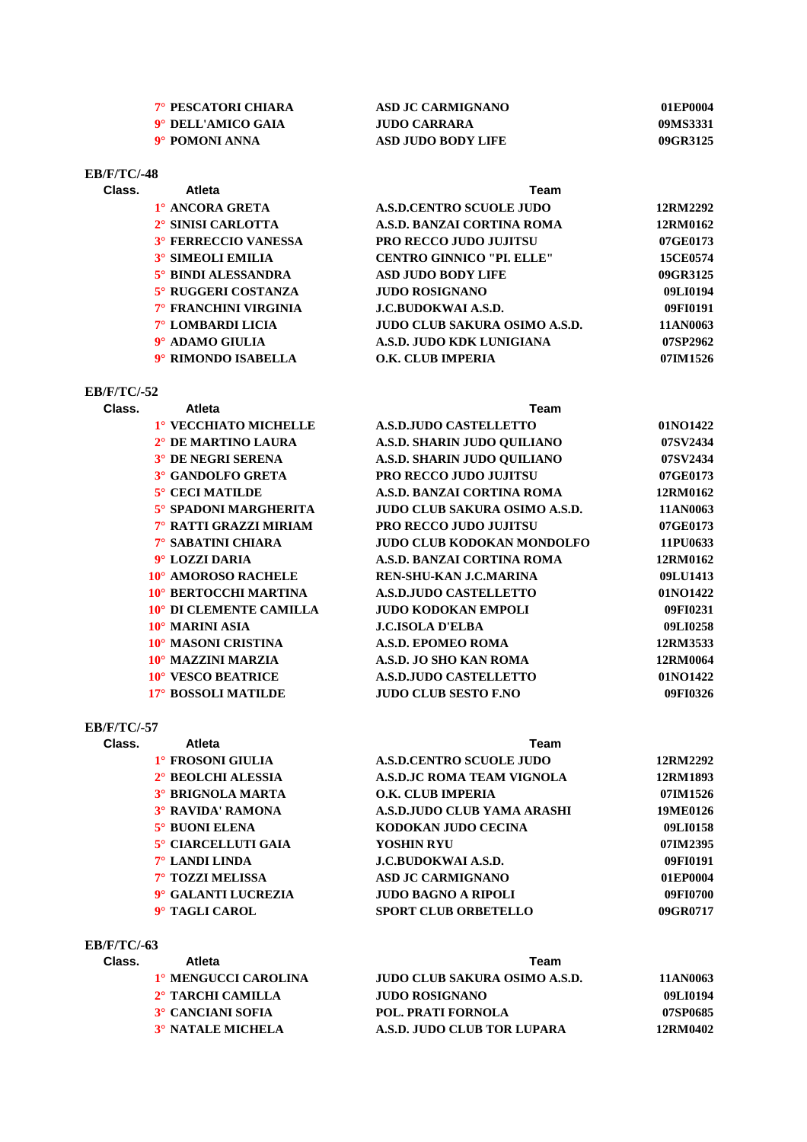| 7° PESCATORI CHIARA | ASD JC CARMIGNANO  | 01EP0004 |
|---------------------|--------------------|----------|
| 9° DELL'AMICO GAIA  | JUDO CARRARA       | 09MS3331 |
| 9° POMONI ANNA      | ASD JUDO BODY LIFE | 09GR3125 |

# **EB/F/TC/-48**

| Class. | Atleta                      | Team                                 |          |
|--------|-----------------------------|--------------------------------------|----------|
|        | 1° ANCORA GRETA             | <b>A.S.D.CENTRO SCUOLE JUDO</b>      | 12RM2292 |
|        | 2° SINISI CARLOTTA          | A.S.D. BANZAI CORTINA ROMA           | 12RM0162 |
|        | <b>3° FERRECCIO VANESSA</b> | <b>PRO RECCO JUDO JUJITSU</b>        | 07GE0173 |
|        | <b>3° SIMEOLI EMILIA</b>    | <b>CENTRO GINNICO "PI. ELLE"</b>     | 15CE0574 |
|        | 5° BINDI ALESSANDRA         | <b>ASD JUDO BODY LIFE</b>            | 09GR3125 |
|        | 5° RUGGERI COSTANZA         | <b>JUDO ROSIGNANO</b>                | 09LI0194 |
|        | 7° FRANCHINI VIRGINIA       | <b>J.C.BUDOKWAI A.S.D.</b>           | 09FI0191 |
|        | 7° LOMBARDI LICIA           | <b>JUDO CLUB SAKURA OSIMO A.S.D.</b> | 11AN0063 |
|        | 9° ADAMO GIULIA             | A.S.D. JUDO KDK LUNIGIANA            | 07SP2962 |
|        | 9° RIMONDO ISABELLA         | O.K. CLUB IMPERIA                    | 07IM1526 |

# **EB/F/TC/-52**

| Class. | Atleta                  | Team                              |          |
|--------|-------------------------|-----------------------------------|----------|
|        | 1° VECCHIATO MICHELLE   | <b>A.S.D.JUDO CASTELLETTO</b>     | 01NO1422 |
|        | 2° DE MARTINO LAURA     | A.S.D. SHARIN JUDO OUILIANO       | 07SV2434 |
|        | 3° DE NEGRI SERENA      | A.S.D. SHARIN JUDO OUILIANO       | 07SV2434 |
|        | 3° GANDOLFO GRETA       | <b>PRO RECCO JUDO JUJITSU</b>     | 07GE0173 |
|        | $5^\circ$ CECI MATILDE  | <b>A.S.D. BANZAI CORTINA ROMA</b> | 12RM0162 |
|        | 5° SPADONI MARGHERITA   | JUDO CLUB SAKURA OSIMO A.S.D.     | 11AN0063 |
|        | 7° RATTI GRAZZI MIRIAM  | <b>PRO RECCO JUDO JUJITSU</b>     | 07GE0173 |
|        | 7° SABATINI CHIARA      | <b>JUDO CLUB KODOKAN MONDOLFO</b> | 11PU0633 |
|        | 9° LOZZI DARIA          | A.S.D. BANZAI CORTINA ROMA        | 12RM0162 |
|        | 10° AMOROSO RACHELE     | REN-SHU-KAN J.C.MARINA            | 09LU1413 |
|        | 10° BERTOCCHI MARTINA   | <b>A.S.D.JUDO CASTELLETTO</b>     | 01NO1422 |
|        | 10° DI CLEMENTE CAMILLA | <b>JUDO KODOKAN EMPOLI</b>        | 09FI0231 |
|        | 10° MARINI ASIA         | <b>J.C.ISOLA D'ELBA</b>           | 09LI0258 |
|        | 10° MASONI CRISTINA     | <b>A.S.D. EPOMEO ROMA</b>         | 12RM3533 |
|        | 10° MAZZINI MARZIA      | A.S.D. JO SHO KAN ROMA            | 12RM0064 |
|        | 10° VESCO BEATRICE      | <b>A.S.D.JUDO CASTELLETTO</b>     | 01NO1422 |
|        | 17° BOSSOLI MATILDE     | <b>JUDO CLUB SESTO F.NO</b>       | 09FI0326 |

#### **EB/F/TC/-57**

| Class. | Atleta                   | Team                              |          |
|--------|--------------------------|-----------------------------------|----------|
|        | 1° FROSONI GIULIA        | <b>A.S.D.CENTRO SCUOLE JUDO</b>   | 12RM2292 |
|        | 2° BEOLCHI ALESSIA       | <b>A.S.D.JC ROMA TEAM VIGNOLA</b> | 12RM1893 |
|        | <b>3° BRIGNOLA MARTA</b> | O.K. CLUB IMPERIA                 | 07IM1526 |
|        | <b>3° RAVIDA' RAMONA</b> | A.S.D.JUDO CLUB YAMA ARASHI       | 19ME0126 |
|        | 5° BUONI ELENA           | KODOKAN JUDO CECINA               | 09LI0158 |
|        | 5° CIARCELLUTI GAIA      | YOSHIN RYU                        | 07IM2395 |
|        | $7^\circ$ LANDI LINDA    | <b>J.C.BUDOKWAI A.S.D.</b>        | 09FI0191 |
|        | <b>7° TOZZI MELISSA</b>  | <b>ASD JC CARMIGNANO</b>          | 01EP0004 |
|        | 9° GALANTI LUCREZIA      | <b>JUDO BAGNO A RIPOLI</b>        | 09FI0700 |
|        | 9° TAGLI CAROL           | <b>SPORT CLUB ORBETELLO</b>       | 09GR0717 |

### **EB/F/TC/-63**

| Class. | Atleta                   | Team                          |          |  |
|--------|--------------------------|-------------------------------|----------|--|
|        | 1º MENGUCCI CAROLINA     | JUDO CLUB SAKURA OSIMO A.S.D. | 11AN0063 |  |
|        | 2° TARCHI CAMILLA        | JUDO ROSIGNANO                | 09LI0194 |  |
|        | 3° CANCIANI SOFIA        | <b>POL. PRATI FORNOLA</b>     | 07SP0685 |  |
|        | <b>3° NATALE MICHELA</b> | A.S.D. JUDO CLUB TOR LUPARA   | 12RM0402 |  |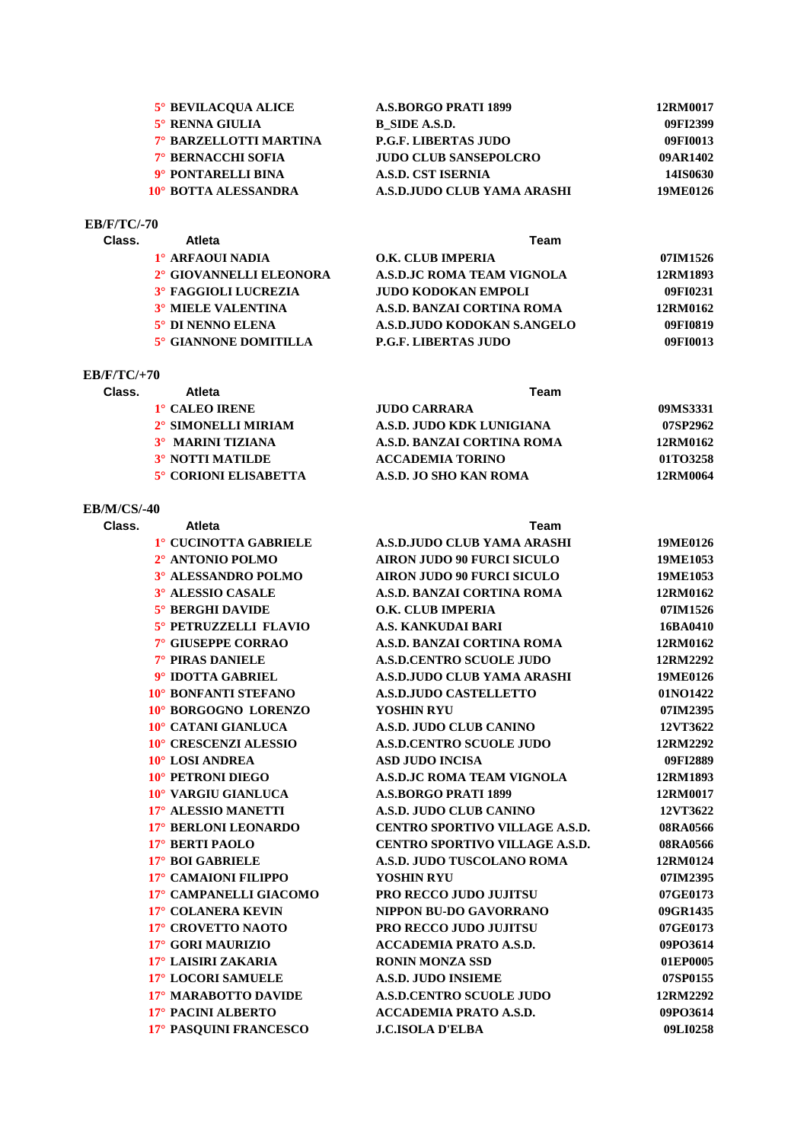| <b>5° BEVILACOUA ALICE</b> | <b>A.S.BORGO PRATI 1899</b>  | 12RM0017 |
|----------------------------|------------------------------|----------|
| 5° RENNA GIULIA            | B SIDE A.S.D.                | 09FI2399 |
| 7° BARZELLOTTI MARTINA     | <b>P.G.F. LIBERTAS JUDO</b>  | 09FI0013 |
| <b>7° BERNACCHI SOFIA</b>  | <b>JUDO CLUB SANSEPOLCRO</b> | 09AR1402 |
| 9° PONTARELLI BINA         | <b>A.S.D. CST ISERNIA</b>    | 14IS0630 |
| 10° BOTTA ALESSANDRA       | A.S.D.JUDO CLUB YAMA ARASHI  | 19ME0126 |

#### **EB/F/TC/-70**

| Class. | <b>Atleta</b>               | Team                        |          |  |
|--------|-----------------------------|-----------------------------|----------|--|
|        | 1° ARFAOUI NADIA            | O.K. CLUB IMPERIA           | 07IM1526 |  |
|        | 2° GIOVANNELLI ELEONORA     | A.S.D.JC ROMA TEAM VIGNOLA  | 12RM1893 |  |
|        | <b>3° FAGGIOLI LUCREZIA</b> | <b>JUDO KODOKAN EMPOLI</b>  | 09FI0231 |  |
|        | <b>3° MIELE VALENTINA</b>   | A.S.D. BANZAI CORTINA ROMA  | 12RM0162 |  |
|        | 5° DI NENNO ELENA           | A.S.D.JUDO KODOKAN S.ANGELO | 09FI0819 |  |
|        | 5° GIANNONE DOMITILLA       | <b>P.G.F. LIBERTAS JUDO</b> | 09FI0013 |  |
|        |                             |                             |          |  |

#### **EB/F/TC/+70**

| Class. | Atleta                       | Team                       |          |
|--------|------------------------------|----------------------------|----------|
|        | 1° CALEO IRENE               | JUDO CARRARA               | 09MS3331 |
|        | 2° SIMONELLI MIRIAM          | A.S.D. JUDO KDK LUNIGIANA  | 07SP2962 |
|        | 3° MARINI TIZIANA            | A.S.D. BANZAI CORTINA ROMA | 12RM0162 |
|        | <b>3° NOTTI MATILDE</b>      | <b>ACCADEMIA TORINO</b>    | 01TO3258 |
|        | <b>5° CORIONI ELISABETTA</b> | A.S.D. JO SHO KAN ROMA     | 12RM0064 |

# **EB/M/CS/-40**

| Class. | Atleta                  | <b>Team</b>                           |          |
|--------|-------------------------|---------------------------------------|----------|
|        | 1° CUCINOTTA GABRIELE   | A.S.D.JUDO CLUB YAMA ARASHI           | 19ME0126 |
|        | 2° ANTONIO POLMO        | <b>AIRON JUDO 90 FURCI SICULO</b>     | 19ME1053 |
|        | 3° ALESSANDRO POLMO     | <b>AIRON JUDO 90 FURCI SICULO</b>     | 19ME1053 |
|        | 3° ALESSIO CASALE       | A.S.D. BANZAI CORTINA ROMA            | 12RM0162 |
|        | <b>5° BERGHI DAVIDE</b> | O.K. CLUB IMPERIA                     | 07IM1526 |
|        | 5° PETRUZZELLI FLAVIO   | <b>A.S. KANKUDAI BARI</b>             | 16BA0410 |
|        | 7° GIUSEPPE CORRAO      | A.S.D. BANZAI CORTINA ROMA            | 12RM0162 |
|        | 7° PIRAS DANIELE        | <b>A.S.D.CENTRO SCUOLE JUDO</b>       | 12RM2292 |
|        | 9° IDOTTA GABRIEL       | <b>A.S.D.JUDO CLUB YAMA ARASHI</b>    | 19ME0126 |
|        | 10° BONFANTI STEFANO    | <b>A.S.D.JUDO CASTELLETTO</b>         | 01NO1422 |
|        | 10° BORGOGNO LORENZO    | YOSHIN RYU                            | 07IM2395 |
|        | 10° CATANI GIANLUCA     | A.S.D. JUDO CLUB CANINO               | 12VT3622 |
|        | 10° CRESCENZI ALESSIO   | <b>A.S.D.CENTRO SCUOLE JUDO</b>       | 12RM2292 |
|        | 10° LOSI ANDREA         | <b>ASD JUDO INCISA</b>                | 09FI2889 |
|        | 10° PETRONI DIEGO       | <b>A.S.D.JC ROMA TEAM VIGNOLA</b>     | 12RM1893 |
|        | 10° VARGIU GIANLUCA     | <b>A.S.BORGO PRATI 1899</b>           | 12RM0017 |
|        | 17° ALESSIO MANETTI     | A.S.D. JUDO CLUB CANINO               | 12VT3622 |
|        | 17° BERLONI LEONARDO    | <b>CENTRO SPORTIVO VILLAGE A.S.D.</b> | 08RA0566 |
|        | 17° BERTI PAOLO         | <b>CENTRO SPORTIVO VILLAGE A.S.D.</b> | 08RA0566 |
|        | 17° BOI GABRIELE        | A.S.D. JUDO TUSCOLANO ROMA            | 12RM0124 |
|        | 17° CAMAIONI FILIPPO    | YOSHIN RYU                            | 07IM2395 |
|        | 17° CAMPANELLI GIACOMO  | <b>PRO RECCO JUDO JUJITSU</b>         | 07GE0173 |
|        | 17° COLANERA KEVIN      | NIPPON BU-DO GAVORRANO                | 09GR1435 |
|        | 17° CROVETTO NAOTO      | <b>PRO RECCO JUDO JUJITSU</b>         | 07GE0173 |
|        | 17° GORI MAURIZIO       | <b>ACCADEMIA PRATO A.S.D.</b>         | 09PO3614 |
|        | 17° LAISIRI ZAKARIA     | <b>RONIN MONZA SSD</b>                | 01EP0005 |
|        | 17° LOCORI SAMUELE      | <b>A.S.D. JUDO INSIEME</b>            | 07SP0155 |
|        | 17° MARABOTTO DAVIDE    | <b>A.S.D.CENTRO SCUOLE JUDO</b>       | 12RM2292 |
|        | 17° PACINI ALBERTO      | <b>ACCADEMIA PRATO A.S.D.</b>         | 09PO3614 |
|        | 17° PASQUINI FRANCESCO  | <b>J.C.ISOLA D'ELBA</b>               | 09LI0258 |
|        |                         |                                       |          |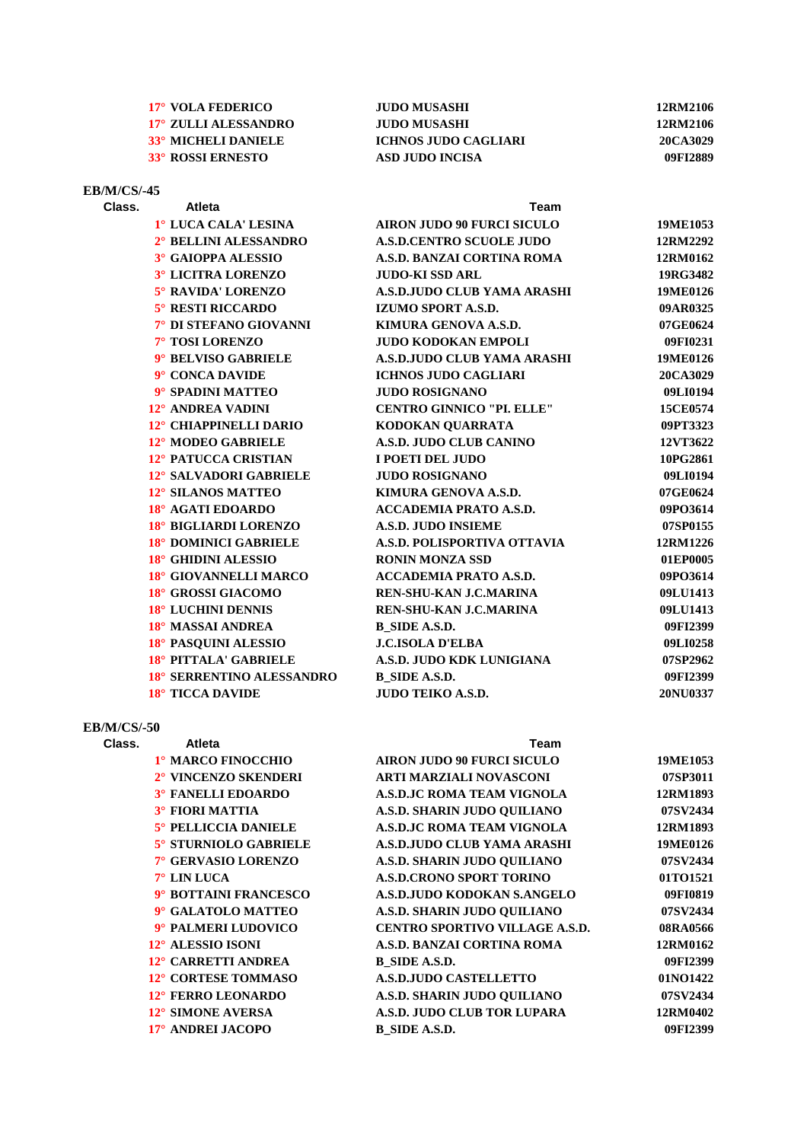| 17° VOLA FEDERICO    | JUDO MUSASHI         | 12RM2106 |
|----------------------|----------------------|----------|
| 17° ZULLI ALESSANDRO | JUDO MUSASHI         | 12RM2106 |
| 33° MICHELI DANIELE  | ICHNOS JUDO CAGLIARI | 20CA3029 |
| 33° ROSSI ERNESTO    | ASD JUDO INCISA      | 09FI2889 |

| <b>EB/M/CS/-45</b> |                           |                                   |          |
|--------------------|---------------------------|-----------------------------------|----------|
| Class.             | <b>Atleta</b>             | Team                              |          |
|                    | 1º LUCA CALA' LESINA      | <b>AIRON JUDO 90 FURCI SICULO</b> | 19ME1053 |
|                    | 2° BELLINI ALESSANDRO     | <b>A.S.D.CENTRO SCUOLE JUDO</b>   | 12RM2292 |
|                    | 3° GAIOPPA ALESSIO        | A.S.D. BANZAI CORTINA ROMA        | 12RM0162 |
|                    | 3° LICITRA LORENZO        | <b>JUDO-KI SSD ARL</b>            | 19RG3482 |
|                    | 5° RAVIDA' LORENZO        | A.S.D.JUDO CLUB YAMA ARASHI       | 19ME0126 |
|                    | <b>5° RESTI RICCARDO</b>  | <b>IZUMO SPORT A.S.D.</b>         | 09AR0325 |
|                    | 7° DI STEFANO GIOVANNI    | KIMURA GENOVA A.S.D.              | 07GE0624 |
|                    | 7° TOSI LORENZO           | <b>JUDO KODOKAN EMPOLI</b>        | 09FI0231 |
|                    | 9° BELVISO GABRIELE       | A.S.D.JUDO CLUB YAMA ARASHI       | 19ME0126 |
|                    | 9° CONCA DAVIDE           | <b>ICHNOS JUDO CAGLIARI</b>       | 20CA3029 |
|                    | 9° SPADINI MATTEO         | <b>JUDO ROSIGNANO</b>             | 09LI0194 |
|                    | 12° ANDREA VADINI         | <b>CENTRO GINNICO "PI. ELLE"</b>  | 15CE0574 |
|                    | 12° CHIAPPINELLI DARIO    | KODOKAN QUARRATA                  | 09PT3323 |
|                    | 12° MODEO GABRIELE        | A.S.D. JUDO CLUB CANINO           | 12VT3622 |
|                    | 12° PATUCCA CRISTIAN      | I POETI DEL JUDO                  | 10PG2861 |
|                    | 12° SALVADORI GABRIELE    | <b>JUDO ROSIGNANO</b>             | 09LI0194 |
|                    | 12° SILANOS MATTEO        | KIMURA GENOVA A.S.D.              | 07GE0624 |
|                    | 18° AGATI EDOARDO         | <b>ACCADEMIA PRATO A.S.D.</b>     | 09PO3614 |
|                    | 18° BIGLIARDI LORENZO     | <b>A.S.D. JUDO INSIEME</b>        | 07SP0155 |
|                    | 18° DOMINICI GABRIELE     | A.S.D. POLISPORTIVA OTTAVIA       | 12RM1226 |
|                    | 18° GHIDINI ALESSIO       | <b>RONIN MONZA SSD</b>            | 01EP0005 |
|                    | 18° GIOVANNELLI MARCO     | <b>ACCADEMIA PRATO A.S.D.</b>     | 09PO3614 |
|                    | 18° GROSSI GIACOMO        | <b>REN-SHU-KAN J.C.MARINA</b>     | 09LU1413 |
|                    | 18° LUCHINI DENNIS        | <b>REN-SHU-KAN J.C.MARINA</b>     | 09LU1413 |
|                    | 18° MASSAI ANDREA         | <b>B_SIDE A.S.D.</b>              | 09FI2399 |
|                    | 18° PASQUINI ALESSIO      | <b>J.C.ISOLA D'ELBA</b>           | 09LI0258 |
|                    | 18° PITTALA' GABRIELE     | A.S.D. JUDO KDK LUNIGIANA         | 07SP2962 |
|                    | 18° SERRENTINO ALESSANDRO | <b>B_SIDE A.S.D.</b>              | 09FI2399 |
|                    | 18° TICCA DAVIDE          | <b>JUDO TEIKO A.S.D.</b>          | 20NU0337 |
|                    |                           |                                   |          |

# **EB/M/CS/-50**

| Class. | <b>Atleta</b>             | Team                                  |          |
|--------|---------------------------|---------------------------------------|----------|
|        | 1º MARCO FINOCCHIO        | <b>AIRON JUDO 90 FURCI SICULO</b>     | 19ME1053 |
|        | 2° VINCENZO SKENDERI      | <b>ARTI MARZIALI NOVASCONI</b>        | 07SP3011 |
|        | <b>3° FANELLI EDOARDO</b> | <b>A.S.D.JC ROMA TEAM VIGNOLA</b>     | 12RM1893 |
|        | <b>3° FIORI MATTIA</b>    | A.S.D. SHARIN JUDO OUILIANO           | 07SV2434 |
|        | 5° PELLICCIA DANIELE      | <b>A.S.D.JC ROMA TEAM VIGNOLA</b>     | 12RM1893 |
|        | 5° STURNIOLO GABRIELE     | A.S.D.JUDO CLUB YAMA ARASHI           | 19ME0126 |
|        | 7° GERVASIO LORENZO       | A.S.D. SHARIN JUDO QUILIANO           | 07SV2434 |
|        | $7^\circ$ LIN LUCA        | <b>A.S.D.CRONO SPORT TORINO</b>       | 01TO1521 |
|        | 9° BOTTAINI FRANCESCO     | A.S.D.JUDO KODOKAN S.ANGELO           | 09FI0819 |
|        | 9° GALATOLO MATTEO        | A.S.D. SHARIN JUDO QUILIANO           | 07SV2434 |
|        | 9° PALMERI LUDOVICO       | <b>CENTRO SPORTIVO VILLAGE A.S.D.</b> | 08RA0566 |
|        | 12° ALESSIO ISONI         | A.S.D. BANZAI CORTINA ROMA            | 12RM0162 |
|        | 12° CARRETTI ANDREA       | B SIDE A.S.D.                         | 09FI2399 |
|        | 12° CORTESE TOMMASO       | <b>A.S.D.JUDO CASTELLETTO</b>         | 01NO1422 |
|        | 12° FERRO LEONARDO        | A.S.D. SHARIN JUDO OUILIANO           | 07SV2434 |
|        | 12° SIMONE AVERSA         | A.S.D. JUDO CLUB TOR LUPARA           | 12RM0402 |
|        | 17° ANDREI JACOPO         | B SIDE A.S.D.                         | 09FI2399 |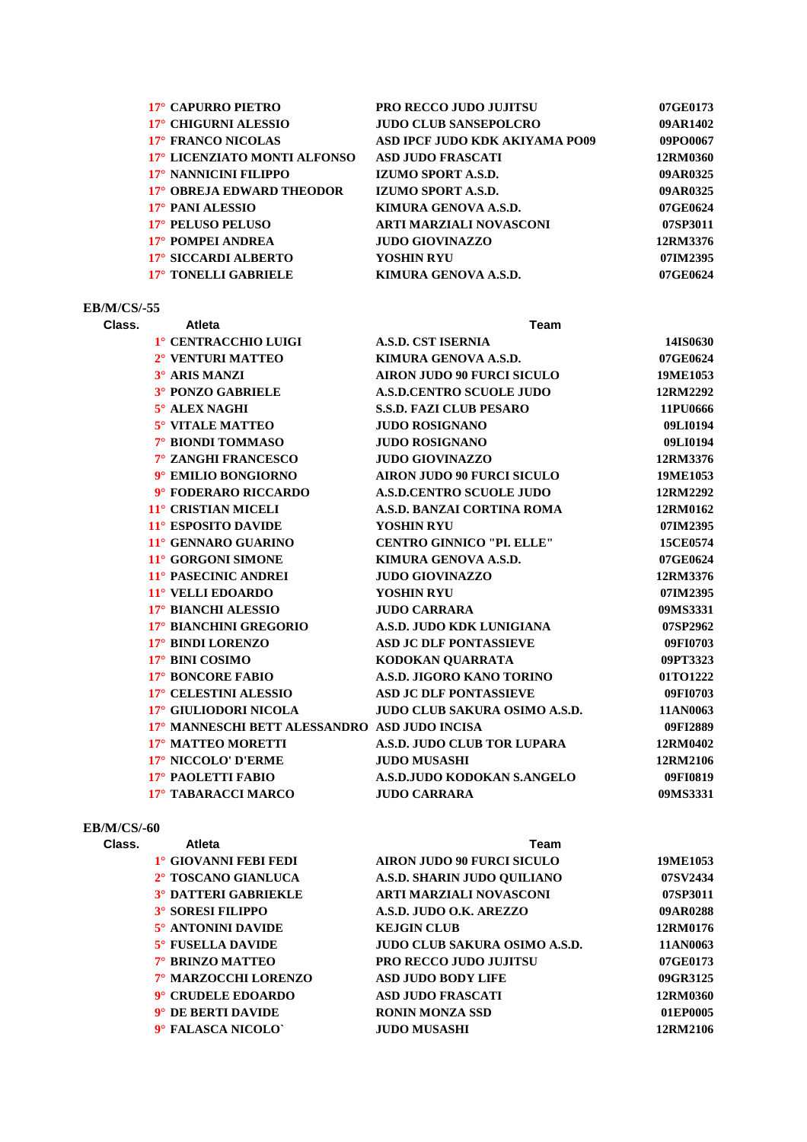| 17° CAPURRO PIETRO           | <b>PRO RECCO JUDO JUJITSU</b>  | 07GE0173 |
|------------------------------|--------------------------------|----------|
| 17° CHIGURNI ALESSIO         | <b>JUDO CLUB SANSEPOLCRO</b>   | 09AR1402 |
| 17° FRANCO NICOLAS           | ASD IPCF JUDO KDK AKIYAMA PO09 | 09PO0067 |
| 17° LICENZIATO MONTI ALFONSO | <b>ASD JUDO FRASCATI</b>       | 12RM0360 |
| 17° NANNICINI FILIPPO        | <b>IZUMO SPORT A.S.D.</b>      | 09AR0325 |
| 17° OBREJA EDWARD THEODOR    | IZUMO SPORT A.S.D.             | 09AR0325 |
| 17° PANI ALESSIO             | KIMURA GENOVA A.S.D.           | 07GE0624 |
| 17° PELUSO PELUSO            | ARTI MARZIALI NOVASCONI        | 07SP3011 |
| 17° POMPEI ANDREA            | <b>JUDO GIOVINAZZO</b>         | 12RM3376 |
| 17° SICCARDI ALBERTO         | YOSHIN RYU                     | 07IM2395 |
| 17° TONELLI GABRIELE         | KIMURA GENOVA A.S.D.           | 07GE0624 |
|                              |                                |          |

#### **EB/M/CS/-55**

**Class. Atleta Team 1° CENTRACCHIO LUIGI A.S.D. CST ISERNIA 14IS0630 2° VENTURI MATTEO KIMURA GENOVA A.S.D. 07GE0624 3° ARIS MANZI AIRON JUDO 90 FURCI SICULO 19ME1053 3° PONZO GABRIELE A.S.D.CENTRO SCUOLE JUDO 12RM2292 5° ALEX NAGHI S.S.D. FAZI CLUB PESARO 11PU0666 5° VITALE MATTEO JUDO ROSIGNANO 09LI0194 7° BIONDI TOMMASO JUDO ROSIGNANO 09LI0194 7° ZANGHI FRANCESCO JUDO GIOVINAZZO 12RM3376 9° EMILIO BONGIORNO AIRON JUDO 90 FURCI SICULO 19ME1053 9° FODERARO RICCARDO A.S.D.CENTRO SCUOLE JUDO 12RM2292 11° CRISTIAN MICELI A.S.D. BANZAI CORTINA ROMA 12RM0162 11° ESPOSITO DAVIDE YOSHIN RYU 07IM2395 11° GENNARO GUARINO CENTRO GINNICO "PI. ELLE" 15CE0574 11° GORGONI SIMONE KIMURA GENOVA A.S.D. 07GE0624 11° PASECINIC ANDREI JUDO GIOVINAZZO 12RM3376 11° VELLI EDOARDO YOSHIN RYU 07IM2395 17° BIANCHI ALESSIO JUDO CARRARA 09MS3331 17° BIANCHINI GREGORIO A.S.D. JUDO KDK LUNIGIANA 07SP2962 17° BINDI LORENZO ASD JC DLF PONTASSIEVE 09FI0703 17° BINI COSIMO KODOKAN QUARRATA 09PT3323 17° BONCORE FABIO A.S.D. JIGORO KANO TORINO 01TO1222 17° CELESTINI ALESSIO ASD JC DLF PONTASSIEVE 09FI0703 17° GIULIODORI NICOLA JUDO CLUB SAKURA OSIMO A.S.D. 11AN0063 17° MANNESCHI BETT ALESSANDRO ASD JUDO INCISA 09FI2889 17° MATTEO MORETTI A.S.D. JUDO CLUB TOR LUPARA 12RM0402 17° NICCOLO' D'ERME JUDO MUSASHI 12RM2106 17° PAOLETTI FABIO A.S.D.JUDO KODOKAN S.ANGELO 09FI0819 17° TABARACCI MARCO JUDO CARRARA 09MS3331**

#### **EB/M/CS/-60**

| Class. | Atleta                            | Team                              |          |
|--------|-----------------------------------|-----------------------------------|----------|
|        | <sup>1</sup> ° GIOVANNI FEBI FEDI | <b>AIRON JUDO 90 FURCI SICULO</b> | 19ME1053 |
|        | 2° TOSCANO GIANLUCA               | A.S.D. SHARIN JUDO OUILIANO       | 07SV2434 |
|        | <b>3° DATTERI GABRIEKLE</b>       | <b>ARTI MARZIALI NOVASCONI</b>    | 07SP3011 |
|        | <b>3° SORESI FILIPPO</b>          | A.S.D. JUDO O.K. AREZZO           | 09AR0288 |
|        | 5° ANTONINI DAVIDE                | <b>KEJGIN CLUB</b>                | 12RM0176 |
|        | 5° FUSELLA DAVIDE                 | JUDO CLUB SAKURA OSIMO A.S.D.     | 11AN0063 |
|        | 7° BRINZO MATTEO                  | <b>PRO RECCO JUDO JUJITSU</b>     | 07GE0173 |
|        | 7° MARZOCCHI LORENZO              | <b>ASD JUDO BODY LIFE</b>         | 09GR3125 |
|        | 9° CRUDELE EDOARDO                | <b>ASD JUDO FRASCATI</b>          | 12RM0360 |
|        | 9° DE BERTI DAVIDE                | <b>RONIN MONZA SSD</b>            | 01EP0005 |
|        | 9° FALASCA NICOLO`                | <b>JUDO MUSASHI</b>               | 12RM2106 |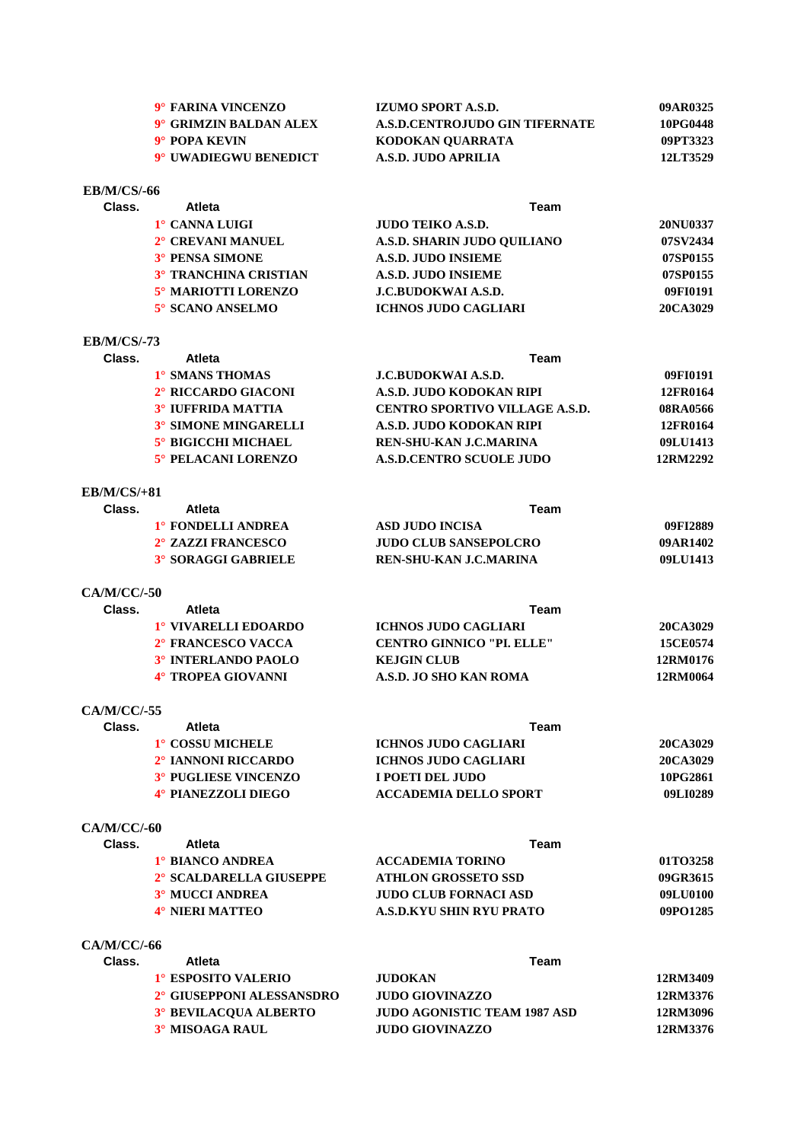| 9° FARINA VINCENZO     | IZUMO SPORT A.S.D.                    | 09AR0325 |
|------------------------|---------------------------------------|----------|
| 9° GRIMZIN BALDAN ALEX | <b>A.S.D.CENTROJUDO GIN TIFERNATE</b> | 10PG0448 |
| 9° POPA KEVIN          | KODOKAN OUARRATA                      | 09PT3323 |
| 9° UWADIEGWU BENEDICT  | A.S.D. JUDO APRILIA                   | 12LT3529 |
|                        |                                       |          |

# **Class. Atleta Team 1° CANNA LUIGI JUDO TEIKO A.S.D. 20NU0337 2° CREVANI MANUEL A.S.D. SHARIN JUDO QUILIANO 07SV2434 3° PENSA SIMONE A.S.D. JUDO INSIEME 07SP0155 3° TRANCHINA CRISTIAN A.S.D. JUDO INSIEME 07SP0155 5° MARIOTTI LORENZO J.C.BUDOKWAI A.S.D. 09FI0191 5° SCANO ANSELMO ICHNOS JUDO CAGLIARI 20CA3029**

#### **EB/M/CS/-73**

**EB/M/CS/-66**

| Class. | <b>Atleta</b>               | Team                                  |          |
|--------|-----------------------------|---------------------------------------|----------|
|        | 1° SMANS THOMAS             | <b>J.C.BUDOKWAI A.S.D.</b>            | 09FI0191 |
|        | 2° RICCARDO GIACONI         | A.S.D. JUDO KODOKAN RIPI              | 12FR0164 |
|        | <b>3° IUFFRIDA MATTIA</b>   | <b>CENTRO SPORTIVO VILLAGE A.S.D.</b> | 08RA0566 |
|        | <b>3° SIMONE MINGARELLI</b> | A.S.D. JUDO KODOKAN RIPI              | 12FR0164 |
|        | <b>5° BIGICCHI MICHAEL</b>  | <b>REN-SHU-KAN J.C.MARINA</b>         | 09LU1413 |
|        | 5° PELACANI LORENZO         | <b>A.S.D.CENTRO SCUOLE JUDO</b>       | 12RM2292 |

### **EB/M/CS/+81**

| 09FI2889 |
|----------|
| 09AR1402 |
| 09LU1413 |
|          |

**CA/M/CC/-50**

| Class. | <b>Atleta</b>        | Team                             |                 |
|--------|----------------------|----------------------------------|-----------------|
|        | 1° VIVARELLI EDOARDO | ICHNOS JUDO CAGLIARI             | 20CA3029        |
|        | 2° FRANCESCO VACCA   | <b>CENTRO GINNICO "PL. ELLE"</b> | <b>15CE0574</b> |
|        | 3° INTERLANDO PAOLO  | <b>KEIGIN CLUB</b>               | 12RM0176        |
|        | 4° TROPEA GIOVANNI   | A.S.D. JO SHO KAN ROMA           | 12RM0064        |
|        |                      |                                  |                 |

#### **CA/M/CC/-55**

| Class. | Atleta                          | Team                         |          |
|--------|---------------------------------|------------------------------|----------|
|        | <sup>1</sup> ° COSSU MICHELE    | ICHNOS JUDO CAGLIARI         | 20CA3029 |
|        | 2 <sup>°</sup> IANNONI RICCARDO | <b>ICHNOS JUDO CAGLIARI</b>  | 20CA3029 |
|        | 3° PUGLIESE VINCENZO            | I POETI DEL JUDO             | 10PG2861 |
|        | 4° PIANEZZOLI DIEGO             | <b>ACCADEMIA DELLO SPORT</b> | 09LI0289 |

#### **CA/M/CC/-60**

| Class. | Atleta                  | Team                         |          |
|--------|-------------------------|------------------------------|----------|
|        | 1° BIANCO ANDREA        | <b>ACCADEMIA TORINO</b>      | 01TO3258 |
|        | 2° SCALDARELLA GIUSEPPE | <b>ATHLON GROSSETO SSD</b>   | 09GR3615 |
|        | <b>3º MUCCI ANDREA</b>  | <b>JUDO CLUB FORNACI ASD</b> | 09LU0100 |
|        | 4° NIERI MATTEO         | A.S.D.KYU SHIN RYU PRATO     | 09PO1285 |
|        |                         |                              |          |

# **CA/M/CC/-66**

| <b>Atleta</b>                | Team                                |          |
|------------------------------|-------------------------------------|----------|
| 1° ESPOSITO VALERIO          | <b>JUDOKAN</b>                      | 12RM3409 |
| 2° GIUSEPPONI ALESSANSDRO    | JUDO GIOVINAZZO                     | 12RM3376 |
| <b>3° BEVILACOUA ALBERTO</b> | <b>JUDO AGONISTIC TEAM 1987 ASD</b> | 12RM3096 |
| 3° MISOAGA RAUL              | JUDO GIOVINAZZO                     | 12RM3376 |
|                              |                                     |          |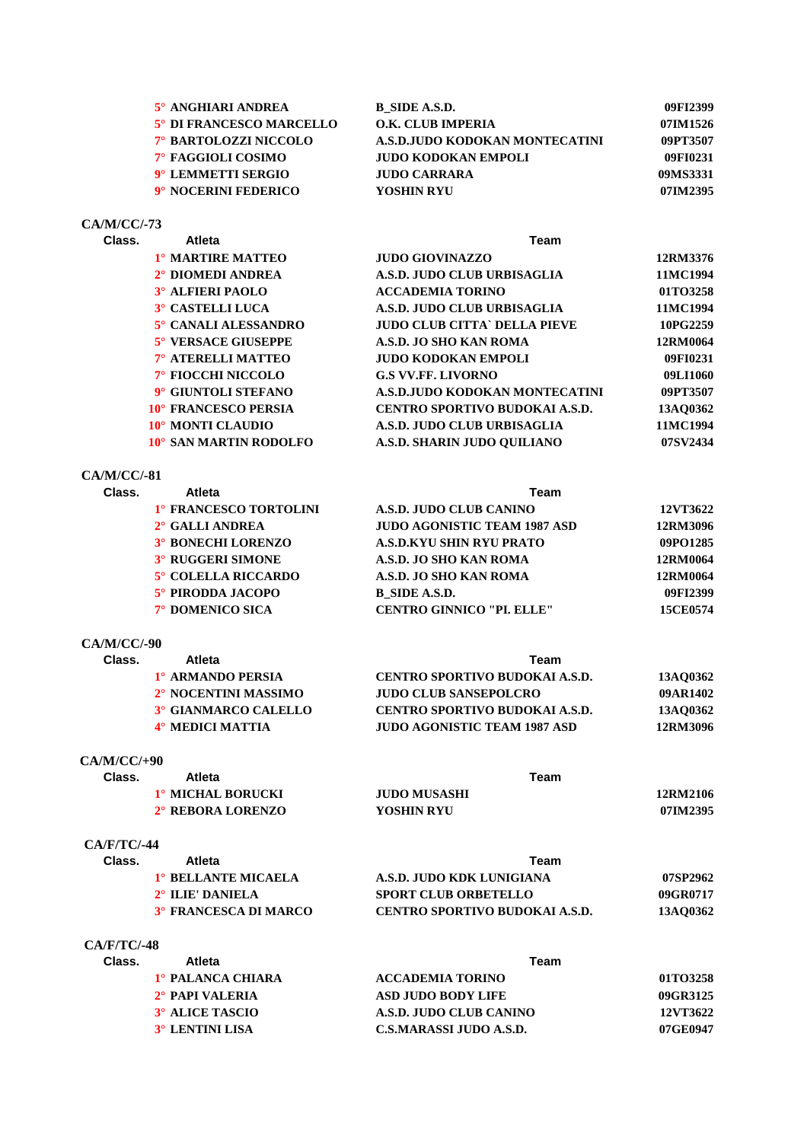| 5° ANGHIARI ANDREA       | B SIDE A.S.D.                  | 09FI2399 |
|--------------------------|--------------------------------|----------|
| 5° DI FRANCESCO MARCELLO | O.K. CLUB IMPERIA              | 07IM1526 |
| 7° BARTOLOZZI NICCOLO    | A.S.D.JUDO KODOKAN MONTECATINI | 09PT3507 |
| 7° FAGGIOLI COSIMO       | <b>JUDO KODOKAN EMPOLI</b>     | 09FI0231 |
| 9° LEMMETTI SERGIO       | JUDO CARRARA                   | 09MS3331 |
| 9° NOCERINI FEDERICO     | YOSHIN RYU                     | 07IM2395 |

#### **CA/M/CC/-73**

| Class. | Atleta<br>Team          |                                       |          |
|--------|-------------------------|---------------------------------------|----------|
|        | 1° MARTIRE MATTEO       | <b>JUDO GIOVINAZZO</b>                | 12RM3376 |
|        | 2° DIOMEDI ANDREA       | A.S.D. JUDO CLUB URBISAGLIA           | 11MC1994 |
|        | <b>3º ALFIERI PAOLO</b> | <b>ACCADEMIA TORINO</b>               | 01TO3258 |
|        | 3° CASTELLI LUCA        | A.S.D. JUDO CLUB URBISAGLIA           | 11MC1994 |
|        | 5° CANALI ALESSANDRO    | <b>JUDO CLUB CITTA' DELLA PIEVE</b>   | 10PG2259 |
|        | 5° VERSACE GIUSEPPE     | A.S.D. JO SHO KAN ROMA                | 12RM0064 |
|        | 7° ATERELLI MATTEO      | <b>JUDO KODOKAN EMPOLI</b>            | 09FI0231 |
|        | 7° FIOCCHI NICCOLO      | <b>G.S VV.FF. LIVORNO</b>             | 09LI1060 |
|        | 9° GIUNTOLI STEFANO     | A.S.D.JUDO KODOKAN MONTECATINI        | 09PT3507 |
|        | 10° FRANCESCO PERSIA    | <b>CENTRO SPORTIVO BUDOKAI A.S.D.</b> | 13AO0362 |
|        | 10° MONTI CLAUDIO       | A.S.D. JUDO CLUB URBISAGLIA           | 11MC1994 |
|        | 10° SAN MARTIN RODOLFO  | A.S.D. SHARIN JUDO OUILIANO           | 07SV2434 |
|        |                         |                                       |          |

#### **CA/M/CC/-81**

| Class. | Atleta                    | Team                                |          |  |
|--------|---------------------------|-------------------------------------|----------|--|
|        | 1° FRANCESCO TORTOLINI    | A.S.D. JUDO CLUB CANINO             | 12VT3622 |  |
|        | 2° GALLI ANDREA           | <b>JUDO AGONISTIC TEAM 1987 ASD</b> | 12RM3096 |  |
|        | <b>3° BONECHI LORENZO</b> | A.S.D.KYU SHIN RYU PRATO            | 09PO1285 |  |
|        | <b>3° RUGGERI SIMONE</b>  | A.S.D. JO SHO KAN ROMA              | 12RM0064 |  |
|        | 5° COLELLA RICCARDO       | A.S.D. JO SHO KAN ROMA              | 12RM0064 |  |
|        | 5° PIRODDA JACOPO         | B SIDE A.S.D.                       | 09FI2399 |  |
|        | 7° DOMENICO SICA          | <b>CENTRO GINNICO "PI. ELLE"</b>    | 15CE0574 |  |
|        |                           |                                     |          |  |

### **CA/M/CC/-90**

| Class. | Atleta               | Team                                |                 |
|--------|----------------------|-------------------------------------|-----------------|
|        | 1° ARMANDO PERSIA    | CENTRO SPORTIVO BUDOKAI A.S.D.      | <b>13AO0362</b> |
|        | 2° NOCENTINI MASSIMO | <b>JUDO CLUB SANSEPOLCRO</b>        | 09AR1402        |
|        | 3° GIANMARCO CALELLO | CENTRO SPORTIVO BUDOKAI A.S.D.      | 13AO0362        |
|        | 4° MEDICI MATTIA     | <b>JUDO AGONISTIC TEAM 1987 ASD</b> | 12RM3096        |
|        |                      |                                     |                 |

#### **CA/M/CC/+90**

| Class. | Atleta            |                     |          |
|--------|-------------------|---------------------|----------|
|        | 1° MICHAL BORUCKI | <b>JUDO MUSASHI</b> | 12RM2106 |
|        | 2° REBORA LORENZO | YOSHIN RYU          | 07IM2395 |

# **CA/F/TC/-44**

| Class. | Atleta                     | Team                           |          |
|--------|----------------------------|--------------------------------|----------|
|        | <b>1° BELLANTE MICAELA</b> | A.S.D. JUDO KDK LUNIGIANA      | 07SP2962 |
|        | 2° ILIE' DANIELA           | <b>SPORT CLUB ORBETELLO</b>    | 09GR0717 |
|        | 3° FRANCESCA DI MARCO      | CENTRO SPORTIVO BUDOKAI A.S.D. | 13AO0362 |

### **CA/F/TC/-48**

| Class. | <b>Atleta</b>               | Team                    |          |
|--------|-----------------------------|-------------------------|----------|
|        | 1º PALANCA CHIARA           | <b>ACCADEMIA TORINO</b> | 01TO3258 |
|        | 2 <sup>°</sup> PAPI VALERIA | ASD JUDO BODY LIFE      | 09GR3125 |
|        | 3° ALICE TASCIO             | A.S.D. JUDO CLUB CANINO | 12VT3622 |
|        | 3° LENTINI LISA             | C.S.MARASSI JUDO A.S.D. | 07GE0947 |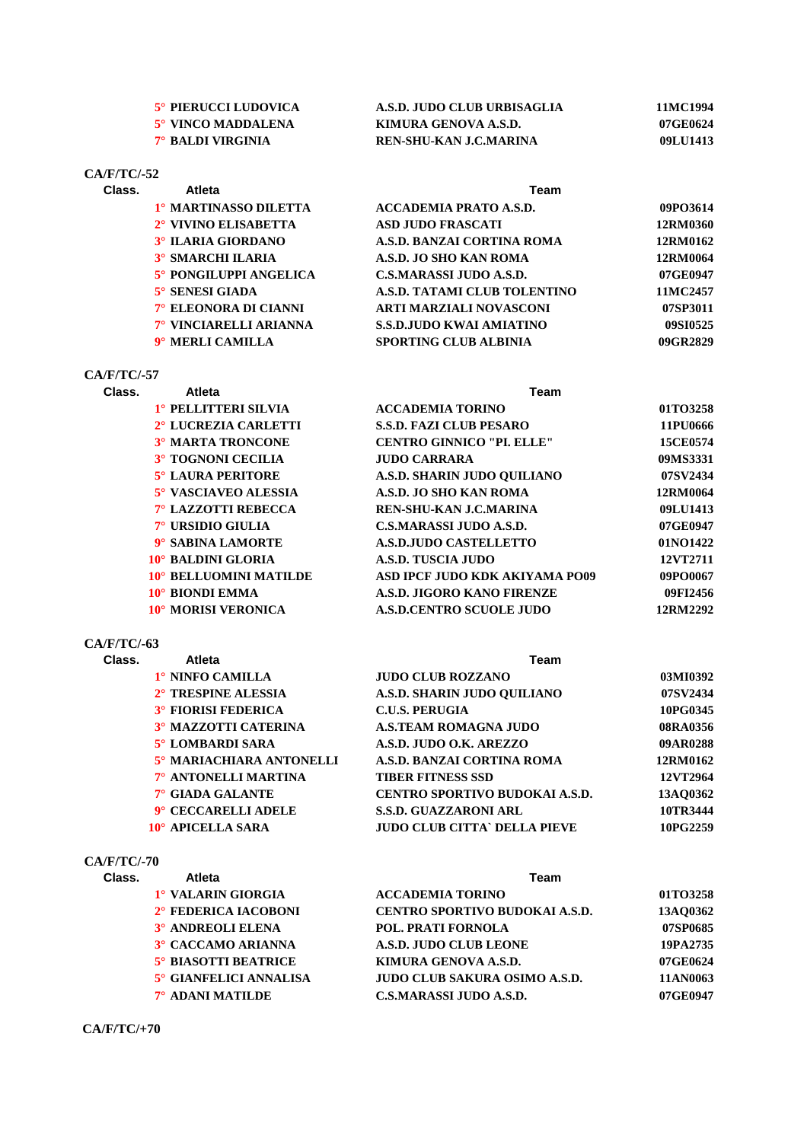| 5° PIERUCCI LUDOVICA     | A.S.D. JUDO CLUB URBISAGLIA | 11MC1994 |
|--------------------------|-----------------------------|----------|
| 5° VINCO MADDALENA       | KIMURA GENOVA A.S.D.        | 07GE0624 |
| <b>7° BALDI VIRGINIA</b> | REN-SHU-KAN J.C.MARINA      | 09LU1413 |

# **CA/F/TC/-52**

| Class. | <b>Atleta</b>            | Team                            |          |
|--------|--------------------------|---------------------------------|----------|
|        | 1º MARTINASSO DILETTA    | <b>ACCADEMIA PRATO A.S.D.</b>   | 09PO3614 |
|        | 2° VIVINO ELISABETTA     | <b>ASD JUDO FRASCATI</b>        | 12RM0360 |
|        | 3° ILARIA GIORDANO       | A.S.D. BANZAI CORTINA ROMA      | 12RM0162 |
|        | <b>3° SMARCHI ILARIA</b> | A.S.D. JO SHO KAN ROMA          | 12RM0064 |
|        | 5° PONGILUPPI ANGELICA   | C.S.MARASSI JUDO A.S.D.         | 07GE0947 |
|        | $5^\circ$ SENESI GIADA   | A.S.D. TATAMI CLUB TOLENTINO    | 11MC2457 |
|        | 7° ELEONORA DI CIANNI    | ARTI MARZIALI NOVASCONI         | 07SP3011 |
|        | 7° VINCIARELLI ARIANNA   | <b>S.S.D.JUDO KWAI AMIATINO</b> | 09SI0525 |
|        | 9° MERLI CAMILLA         | <b>SPORTING CLUB ALBINIA</b>    | 09GR2829 |

# **CA/F/TC/-57**

| Class. | Atleta                           | Team                            |          |  |
|--------|----------------------------------|---------------------------------|----------|--|
|        | 1° PELLITTERI SILVIA             | <b>ACCADEMIA TORINO</b>         | 01TO3258 |  |
|        | 2 <sup>°</sup> LUCREZIA CARLETTI | <b>S.S.D. FAZI CLUB PESARO</b>  | 11PU0666 |  |
|        | <b>3° MARTA TRONCONE</b>         | <b>CENTRO GINNICO "PL ELLE"</b> | 15CE0574 |  |
|        | <b>3° TOGNONI CECILIA</b>        | <b>JUDO CARRARA</b>             | 09MS3331 |  |
|        | 5° LAURA PERITORE                | A.S.D. SHARIN JUDO OUILIANO     | 07SV2434 |  |
|        | 5° VASCIAVEO ALESSIA             | A.S.D. JO SHO KAN ROMA          | 12RM0064 |  |
|        | 7° LAZZOTTI REBECCA              | <b>REN-SHU-KAN J.C.MARINA</b>   | 09LU1413 |  |
|        | 7° URSIDIO GIULIA                | <b>C.S.MARASSI JUDO A.S.D.</b>  | 07GE0947 |  |
|        | 9° SABINA LAMORTE                | <b>A.S.D.JUDO CASTELLETTO</b>   | 01NO1422 |  |
|        | 10° BALDINI GLORIA               | A.S.D. TUSCIA JUDO              | 12VT2711 |  |
|        | 10° BELLUOMINI MATILDE           | ASD IPCF JUDO KDK AKIYAMA PO09  | 09PO0067 |  |
|        | 10° BIONDI EMMA                  | A.S.D. JIGORO KANO FIRENZE      | 09FI2456 |  |
|        | 10° MORISI VERONICA              | <b>A.S.D.CENTRO SCUOLE JUDO</b> | 12RM2292 |  |
|        |                                  |                                 |          |  |

# **CA/F/TC/-63**

| Class. | Atleta                      | Team                                  |          |  |
|--------|-----------------------------|---------------------------------------|----------|--|
|        | 1° NINFO CAMILLA            | <b>JUDO CLUB ROZZANO</b>              | 03MI0392 |  |
|        | 2° TRESPINE ALESSIA         | A.S.D. SHARIN JUDO OUILIANO           | 07SV2434 |  |
|        | <b>3° FIORISI FEDERICA</b>  | <b>C.U.S. PERUGIA</b>                 | 10PG0345 |  |
|        | <b>3º MAZZOTTI CATERINA</b> | <b>A.S.TEAM ROMAGNA JUDO</b>          | 08RA0356 |  |
|        | 5° LOMBARDI SARA            | A.S.D. JUDO O.K. AREZZO               | 09AR0288 |  |
|        | 5° MARIACHIARA ANTONELLI    | A.S.D. BANZAI CORTINA ROMA            | 12RM0162 |  |
|        | 7° ANTONELLI MARTINA        | <b>TIBER FITNESS SSD</b>              | 12VT2964 |  |
|        | 7° GIADA GALANTE            | <b>CENTRO SPORTIVO BUDOKAI A.S.D.</b> | 13AO0362 |  |
|        | 9° CECCARELLI ADELE         | <b>S.S.D. GUAZZARONI ARL</b>          | 10TR3444 |  |
|        | 10° APICELLA SARA           | <b>JUDO CLUB CITTA` DELLA PIEVE</b>   | 10PG2259 |  |

# **CA/F/TC/-70**

| Class. | <b>Atleta</b>               | Team                                 |          |
|--------|-----------------------------|--------------------------------------|----------|
|        | 1° VALARIN GIORGIA          | <b>ACCADEMIA TORINO</b>              | 01TO3258 |
|        | 2° FEDERICA IACOBONI        | CENTRO SPORTIVO BUDOKAI A.S.D.       | 13AO0362 |
|        | <b>3º ANDREOLI ELENA</b>    | <b>POL. PRATI FORNOLA</b>            | 07SP0685 |
|        | 3° CACCAMO ARIANNA          | A.S.D. JUDO CLUB LEONE               | 19PA2735 |
|        | <b>5° BIASOTTI BEATRICE</b> | KIMURA GENOVA A.S.D.                 | 07GE0624 |
|        | 5° GIANFELICI ANNALISA      | <b>JUDO CLUB SAKURA OSIMO A.S.D.</b> | 11AN0063 |
|        | 7° ADANI MATILDE            | <b>C.S.MARASSI JUDO A.S.D.</b>       | 07GE0947 |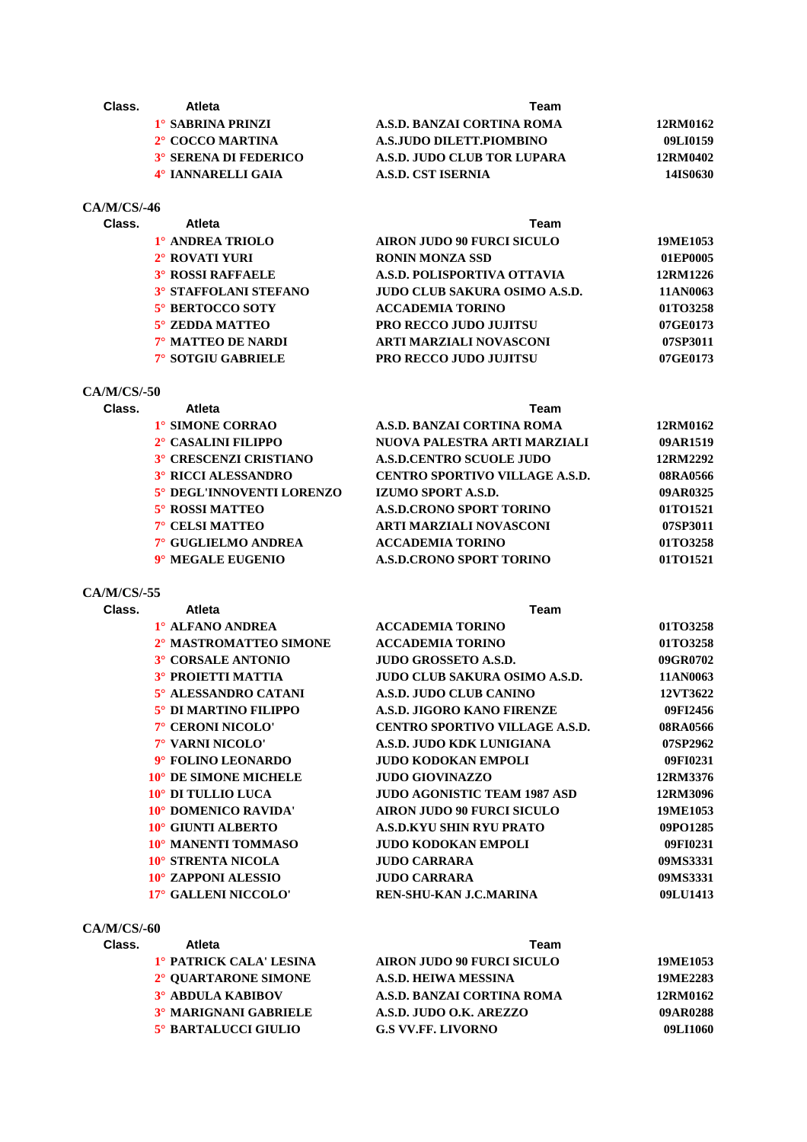| Class.         | Atleta                       | <b>Team</b>                       |          |
|----------------|------------------------------|-----------------------------------|----------|
|                | <b>1° SABRINA PRINZI</b>     | A.S.D. BANZAI CORTINA ROMA        | 12RM0162 |
|                | 2° COCCO MARTINA             | A.S.JUDO DILETT.PIOMBINO          | 09LI0159 |
|                | 3° SERENA DI FEDERICO        | A.S.D. JUDO CLUB TOR LUPARA       | 12RM0402 |
|                | 4° IANNARELLI GAIA           | <b>A.S.D. CST ISERNIA</b>         | 14IS0630 |
| $CA/M/CS/ -46$ |                              |                                   |          |
| Class.         | <b>Atleta</b>                | Team                              |          |
|                | 1° ANDREA TRIOLO             | <b>AIRON JUDO 90 FURCI SICULO</b> | 19ME1053 |
|                | 2° ROVATI YURI               | <b>RONIN MONZA SSD</b>            | 01EP0005 |
|                | <b>3° ROSSI RAFFAELE</b>     | A.S.D. POLISPORTIVA OTTAVIA       | 12RM1226 |
|                | <b>3° STAFFOLANI STEFANO</b> | JUDO CLUB SAKURA OSIMO A.S.D.     | 11AN0063 |
|                | <b>5° BERTOCCO SOTY</b>      | <b>ACCADEMIA TORINO</b>           | 01TO3258 |
|                | 5° ZEDDA MATTEO              | <b>PRO RECCO JUDO JUJITSU</b>     | 07GE0173 |

#### **CA/M/CS/-50**

| Class. | <b>Atleta</b>              | Team                                  |          |
|--------|----------------------------|---------------------------------------|----------|
|        | 1° SIMONE CORRAO           | A.S.D. BANZAI CORTINA ROMA            | 12RM0162 |
|        | 2° CASALINI FILIPPO        | NUOVA PALESTRA ARTI MARZIALI          | 09AR1519 |
|        | 3° CRESCENZI CRISTIANO     | <b>A.S.D.CENTRO SCUOLE JUDO</b>       | 12RM2292 |
|        | <b>3° RICCI ALESSANDRO</b> | <b>CENTRO SPORTIVO VILLAGE A.S.D.</b> | 08RA0566 |
|        | 5° DEGL'INNOVENTI LORENZO  | IZUMO SPORT A.S.D.                    | 09AR0325 |
|        | 5° ROSSI MATTEO            | <b>A.S.D.CRONO SPORT TORINO</b>       | 01TO1521 |
|        | 7° CELSI MATTEO            | ARTI MARZIALI NOVASCONI               | 07SP3011 |
|        | 7° GUGLIELMO ANDREA        | <b>ACCADEMIA TORINO</b>               | 01TO3258 |
|        | 9° MEGALE EUGENIO          | <b>A.S.D.CRONO SPORT TORINO</b>       | 01TO1521 |
|        |                            |                                       |          |

**7° MATTEO DE NARDI ARTI MARZIALI NOVASCONI 07SP3011 7° SOTGIU GABRIELE PRO RECCO JUDO JUJITSU 07GE0173**

#### **CA/M/CS/-55**

| Class.         | Atleta                    | Team                                  |          |
|----------------|---------------------------|---------------------------------------|----------|
|                | 1° ALFANO ANDREA          | <b>ACCADEMIA TORINO</b>               | 01TO3258 |
|                | 2° MASTROMATTEO SIMONE    | <b>ACCADEMIA TORINO</b>               | 01TO3258 |
|                | 3° CORSALE ANTONIO        | <b>JUDO GROSSETO A.S.D.</b>           | 09GR0702 |
|                | <b>3° PROIETTI MATTIA</b> | <b>JUDO CLUB SAKURA OSIMO A.S.D.</b>  | 11AN0063 |
|                | 5° ALESSANDRO CATANI      | A.S.D. JUDO CLUB CANINO               | 12VT3622 |
|                | 5° DI MARTINO FILIPPO     | A.S.D. JIGORO KANO FIRENZE            | 09FI2456 |
|                | 7° CERONI NICOLO'         | <b>CENTRO SPORTIVO VILLAGE A.S.D.</b> | 08RA0566 |
|                | 7° VARNI NICOLO'          | A.S.D. JUDO KDK LUNIGIANA             | 07SP2962 |
|                | 9° FOLINO LEONARDO        | JUDO KODOKAN EMPOLI                   | 09FI0231 |
|                | 10° DE SIMONE MICHELE     | <b>JUDO GIOVINAZZO</b>                | 12RM3376 |
|                | 10° DI TULLIO LUCA        | JUDO AGONISTIC TEAM 1987 ASD          | 12RM3096 |
|                | 10° DOMENICO RAVIDA'      | <b>AIRON JUDO 90 FURCI SICULO</b>     | 19ME1053 |
|                | 10° GIUNTI ALBERTO        | <b>A.S.D.KYU SHIN RYU PRATO</b>       | 09PO1285 |
|                | 10° MANENTI TOMMASO       | <b>JUDO KODOKAN EMPOLI</b>            | 09FI0231 |
|                | 10° STRENTA NICOLA        | <b>JUDO CARRARA</b>                   | 09MS3331 |
|                | 10° ZAPPONI ALESSIO       | <b>JUDO CARRARA</b>                   | 09MS3331 |
|                | 17° GALLENI NICCOLO'      | REN-SHU-KAN J.C.MARINA                | 09LU1413 |
|                |                           |                                       |          |
| $CA/M/CS/ -60$ |                           |                                       |          |
|                |                           |                                       |          |

| 19ME1053        |
|-----------------|
| <b>19ME2283</b> |
| 12RM0162        |
| 09AR0288        |
| 09LI1060        |
|                 |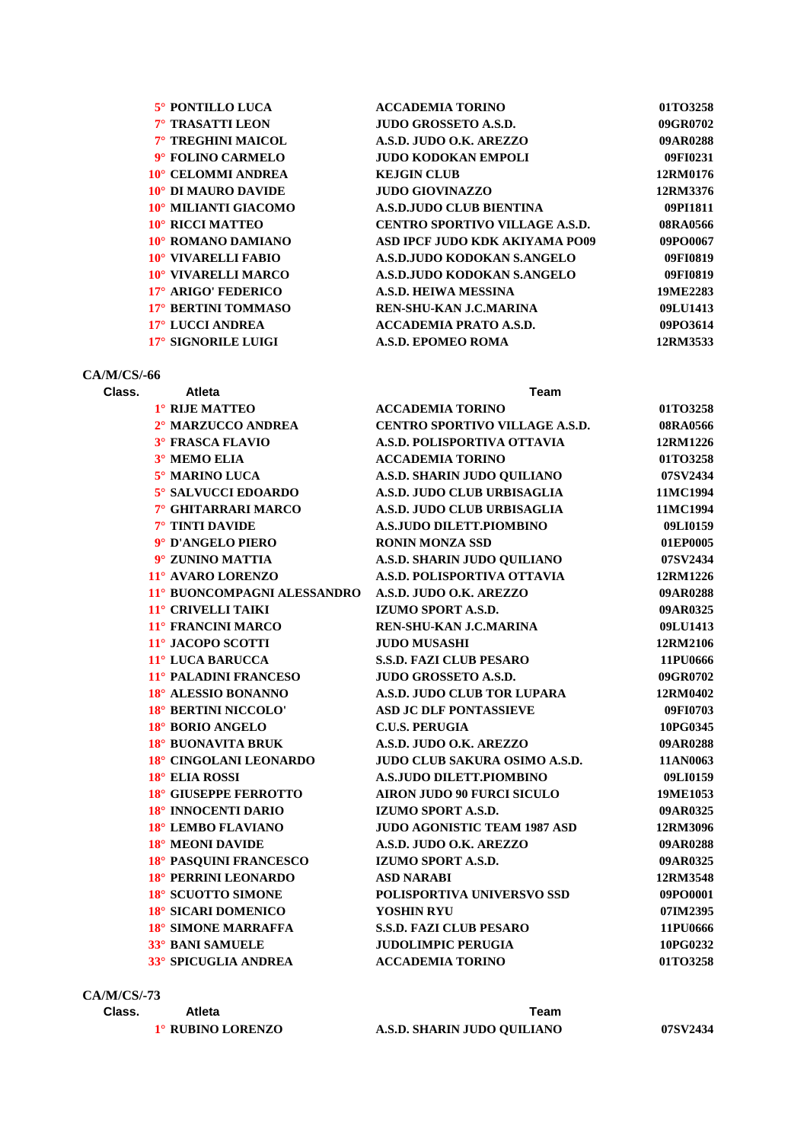| <b>ACCADEMIA TORINO</b>          | 01TO3258 |
|----------------------------------|----------|
| <b>JUDO GROSSETO A.S.D.</b>      | 09GR0702 |
| A.S.D. JUDO O.K. AREZZO          | 09AR0288 |
| <b>JUDO KODOKAN EMPOLI</b>       | 09FI0231 |
| <b>KEJGIN CLUB</b>               | 12RM0176 |
| <b>JUDO GIOVINAZZO</b>           | 12RM3376 |
| <b>A.S.D. JUDO CLUB BIENTINA</b> | 09PI1811 |
| CENTRO SPORTIVO VILLAGE A.S.D.   | 08RA0566 |
| ASD IPCF JUDO KDK AKIYAMA PO09   | 09PO0067 |
| A.S.D.JUDO KODOKAN S.ANGELO      | 09FI0819 |
| A.S.D. JUDO KODOKAN S.ANGELO     | 09FI0819 |
| <b>A.S.D. HEIWA MESSINA</b>      | 19ME2283 |
| REN-SHU-KAN J.C.MARINA           | 09LU1413 |
| <b>ACCADEMIA PRATO A.S.D.</b>    | 09PO3614 |
| <b>A.S.D. EPOMEO ROMA</b>        | 12RM3533 |
|                                  |          |

# **CA/M/CS/-66**

#### **Class. Atleta Team**

| 1° RIJE MATTEO              | <b>ACCADEMIA TORINO</b>               | 01TO3258 |
|-----------------------------|---------------------------------------|----------|
| 2° MARZUCCO ANDREA          | <b>CENTRO SPORTIVO VILLAGE A.S.D.</b> | 08RA0566 |
| <b>3° FRASCA FLAVIO</b>     | A.S.D. POLISPORTIVA OTTAVIA           | 12RM1226 |
| 3° MEMO ELIA                | <b>ACCADEMIA TORINO</b>               | 01TO3258 |
| 5° MARINO LUCA              | A.S.D. SHARIN JUDO QUILIANO           | 07SV2434 |
| 5° SALVUCCI EDOARDO         | A.S.D. JUDO CLUB URBISAGLIA           | 11MC1994 |
| 7° GHITARRARI MARCO         | A.S.D. JUDO CLUB URBISAGLIA           | 11MC1994 |
| 7° TINTI DAVIDE             | <b>A.S.JUDO DILETT.PIOMBINO</b>       | 09LI0159 |
| 9° D'ANGELO PIERO           | <b>RONIN MONZA SSD</b>                | 01EP0005 |
| 9° ZUNINO MATTIA            | A.S.D. SHARIN JUDO QUILIANO           | 07SV2434 |
| 11° AVARO LORENZO           | A.S.D. POLISPORTIVA OTTAVIA           | 12RM1226 |
| 11° BUONCOMPAGNI ALESSANDRO | A.S.D. JUDO O.K. AREZZO               | 09AR0288 |
| 11° CRIVELLI TAIKI          | IZUMO SPORT A.S.D.                    | 09AR0325 |
| 11° FRANCINI MARCO          | <b>REN-SHU-KAN J.C.MARINA</b>         | 09LU1413 |
| 11° JACOPO SCOTTI           | <b>JUDO MUSASHI</b>                   | 12RM2106 |
| 11° LUCA BARUCCA            | <b>S.S.D. FAZI CLUB PESARO</b>        | 11PU0666 |
| 11° PALADINI FRANCESO       | <b>JUDO GROSSETO A.S.D.</b>           | 09GR0702 |
| 18° ALESSIO BONANNO         | A.S.D. JUDO CLUB TOR LUPARA           | 12RM0402 |
| 18° BERTINI NICCOLO'        | <b>ASD JC DLF PONTASSIEVE</b>         | 09FI0703 |
| 18° BORIO ANGELO            | <b>C.U.S. PERUGIA</b>                 | 10PG0345 |
| 18° BUONAVITA BRUK          | A.S.D. JUDO O.K. AREZZO               | 09AR0288 |
| 18° CINGOLANI LEONARDO      | <b>JUDO CLUB SAKURA OSIMO A.S.D.</b>  | 11AN0063 |
| 18° ELIA ROSSI              | <b>A.S.JUDO DILETT.PIOMBINO</b>       | 09LI0159 |
| 18° GIUSEPPE FERROTTO       | <b>AIRON JUDO 90 FURCI SICULO</b>     | 19ME1053 |
| 18° INNOCENTI DARIO         | IZUMO SPORT A.S.D.                    | 09AR0325 |
| 18° LEMBO FLAVIANO          | <b>JUDO AGONISTIC TEAM 1987 ASD</b>   | 12RM3096 |
| 18° MEONI DAVIDE            | A.S.D. JUDO O.K. AREZZO               | 09AR0288 |
| 18° PASQUINI FRANCESCO      | IZUMO SPORT A.S.D.                    | 09AR0325 |
| 18° PERRINI LEONARDO        | <b>ASD NARABI</b>                     | 12RM3548 |
| 18° SCUOTTO SIMONE          | POLISPORTIVA UNIVERSVO SSD            | 09PO0001 |
| 18° SICARI DOMENICO         | YOSHIN RYU                            | 07IM2395 |
| 18° SIMONE MARRAFFA         | <b>S.S.D. FAZI CLUB PESARO</b>        | 11PU0666 |
| 33° BANI SAMUELE            | <b>JUDOLIMPIC PERUGIA</b>             | 10PG0232 |
| 33° SPICUGLIA ANDREA        | <b>ACCADEMIA TORINO</b>               | 01TO3258 |
|                             |                                       |          |

# **CA/M/CS/-73**

| Class. | Atleta            | Геаm                        |          |
|--------|-------------------|-----------------------------|----------|
|        | 1° RUBINO LORENZO | A.S.D. SHARIN JUDO OUILIANO | 07SV2434 |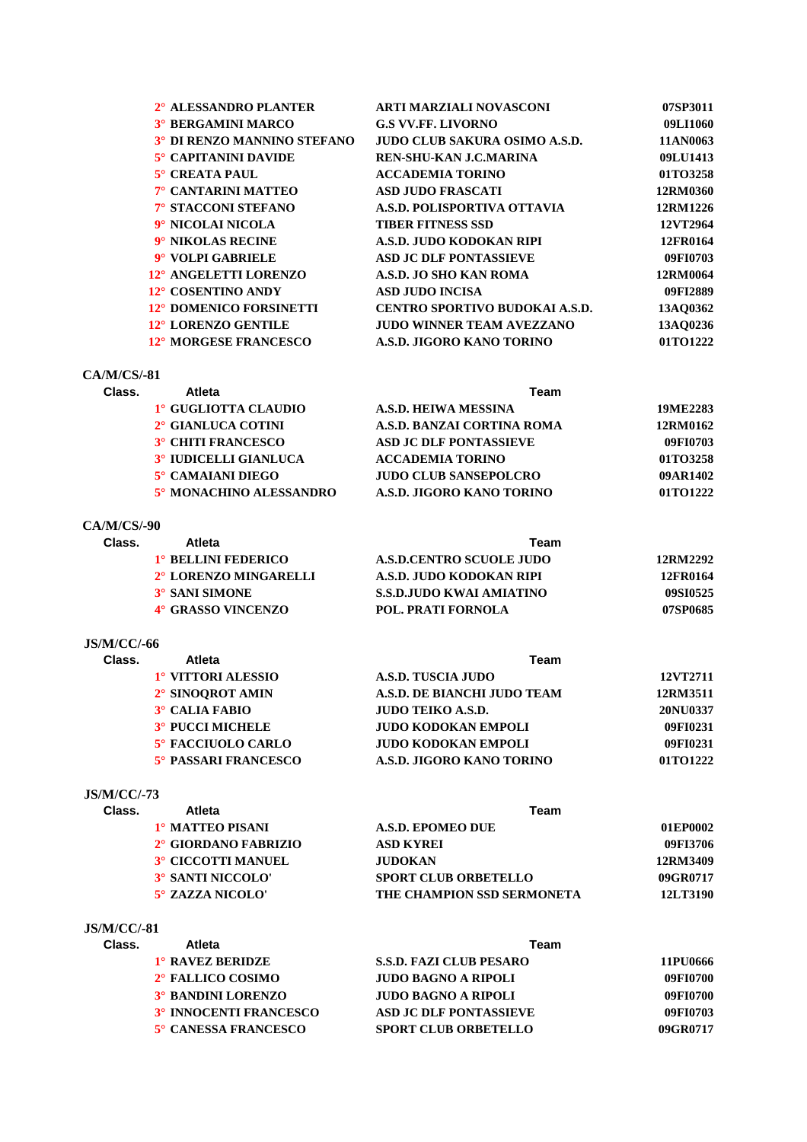| 2° ALESSANDRO PLANTER        | <b>ARTI MARZIALI NOVASCONI</b>        | 07SP3011 |
|------------------------------|---------------------------------------|----------|
| <b>3° BERGAMINI MARCO</b>    | <b>G.S VV.FF. LIVORNO</b>             | 09LI1060 |
| 3° DI RENZO MANNINO STEFANO  | JUDO CLUB SAKURA OSIMO A.S.D.         | 11AN0063 |
| 5° CAPITANINI DAVIDE         | REN-SHU-KAN J.C.MARINA                | 09LU1413 |
| $5^\circ$ CREATA PAUL        | <b>ACCADEMIA TORINO</b>               | 01TO3258 |
| 7° CANTARINI MATTEO          | <b>ASD JUDO FRASCATI</b>              | 12RM0360 |
| 7° STACCONI STEFANO          | A.S.D. POLISPORTIVA OTTAVIA           | 12RM1226 |
| 9° NICOLAI NICOLA            | <b>TIBER FITNESS SSD</b>              | 12VT2964 |
| 9° NIKOLAS RECINE            | A.S.D. JUDO KODOKAN RIPI              | 12FR0164 |
| 9° VOLPI GABRIELE            | <b>ASD JC DLF PONTASSIEVE</b>         | 09FI0703 |
| 12° ANGELETTI LORENZO        | A.S.D. JO SHO KAN ROMA                | 12RM0064 |
| 12° COSENTINO ANDY           | <b>ASD JUDO INCISA</b>                | 09FI2889 |
| 12° DOMENICO FORSINETTI      | <b>CENTRO SPORTIVO BUDOKAI A.S.D.</b> | 13AO0362 |
| 12° LORENZO GENTILE          | <b>JUDO WINNER TEAM AVEZZANO</b>      | 13AO0236 |
| <b>12° MORGESE FRANCESCO</b> | A.S.D. JIGORO KANO TORINO             | 01TO1222 |
|                              |                                       |          |

### **CA/M/CS/-81**

| Class. | <b>Atleta</b>                | Team                          |          |  |
|--------|------------------------------|-------------------------------|----------|--|
|        | 1° GUGLIOTTA CLAUDIO         | A.S.D. HEIWA MESSINA          | 19ME2283 |  |
|        | 2° GIANLUCA COTINI           | A.S.D. BANZAI CORTINA ROMA    | 12RM0162 |  |
|        | <b>3° CHITI FRANCESCO</b>    | <b>ASD JC DLF PONTASSIEVE</b> | 09FI0703 |  |
|        | <b>3° IUDICELLI GIANLUCA</b> | <b>ACCADEMIA TORINO</b>       | 01TO3258 |  |
|        | 5° CAMAIANI DIEGO            | <b>JUDO CLUB SANSEPOLCRO</b>  | 09AR1402 |  |
|        | 5° MONACHINO ALESSANDRO      | A.S.D. JIGORO KANO TORINO     | 01TO1222 |  |

#### **CA/M/CS/-90**

| Atleta                          | Team                            |          |  |
|---------------------------------|---------------------------------|----------|--|
| 1 <sup>°</sup> BELLINI FEDERICO | <b>A.S.D.CENTRO SCUOLE JUDO</b> | 12RM2292 |  |
| 2° LORENZO MINGARELLI           | A.S.D. JUDO KODOKAN RIPI        | 12FR0164 |  |
| 3° SANI SIMONE                  | <b>S.S.D.JUDO KWAI AMIATINO</b> | 09SI0525 |  |
| 4° GRASSO VINCENZO              | <b>POL. PRATI FORNOLA</b>       | 07SP0685 |  |
|                                 |                                 |          |  |

# **JS/M/CC/-66**

| Class. | Atleta                      | Team                        |          |  |
|--------|-----------------------------|-----------------------------|----------|--|
|        | 1° VITTORI ALESSIO          | A.S.D. TUSCIA JUDO          | 12VT2711 |  |
|        | 2° SINOOROT AMIN            | A.S.D. DE BIANCHI JUDO TEAM | 12RM3511 |  |
|        | 3° CALIA FABIO              | <b>JUDO TEIKO A.S.D.</b>    | 20NU0337 |  |
|        | <b>3° PUCCI MICHELE</b>     | <b>JUDO KODOKAN EMPOLI</b>  | 09FI0231 |  |
|        | 5° FACCIUOLO CARLO          | <b>JUDO KODOKAN EMPOLI</b>  | 09FI0231 |  |
|        | <b>5° PASSARI FRANCESCO</b> | A.S.D. JIGORO KANO TORINO   | 01TO1222 |  |

# **JS/M/CC/-73**

| Class. | Atleta                    | Team                        |          |
|--------|---------------------------|-----------------------------|----------|
|        | 1° MATTEO PISANI          | A.S.D. EPOMEO DUE           | 01EP0002 |
|        | 2° GIORDANO FABRIZIO      | ASD KYREI                   | 09FI3706 |
|        | <b>3° CICCOTTI MANUEL</b> | <b>JUDOKAN</b>              | 12RM3409 |
|        | 3° SANTI NICCOLO'         | <b>SPORT CLUB ORBETELLO</b> | 09GR0717 |
|        | $5^\circ$ ZAZZA NICOLO'   | THE CHAMPION SSD SERMONETA  | 12LT3190 |
|        |                           |                             |          |

### **JS/M/CC/-81**

| Class. | <b>Atleta</b>                 | Team                           |          |  |
|--------|-------------------------------|--------------------------------|----------|--|
|        | 1° RAVEZ BERIDZE              | <b>S.S.D. FAZI CLUB PESARO</b> | 11PU0666 |  |
|        | 2° FALLICO COSIMO             | <b>JUDO BAGNO A RIPOLI</b>     | 09FI0700 |  |
|        | <b>3° BANDINI LORENZO</b>     | <b>JUDO BAGNO A RIPOLI</b>     | 09FI0700 |  |
|        | <b>3° INNOCENTI FRANCESCO</b> | <b>ASD JC DLF PONTASSIEVE</b>  | 09FI0703 |  |
|        | 5° CANESSA FRANCESCO          | <b>SPORT CLUB ORBETELLO</b>    | 09GR0717 |  |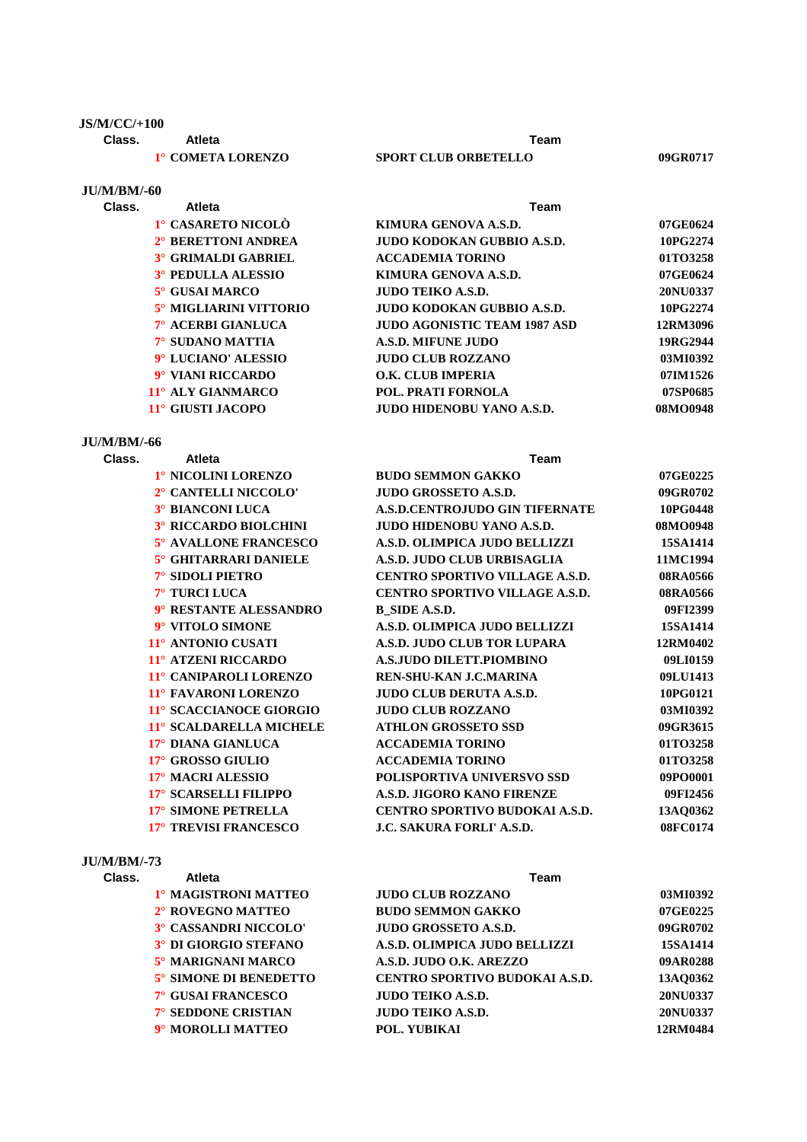### **JS/M/CC/+100**

**JU/M/BM/-60**

**Class. Atleta Team**

| 1° COMETA LORENZO |
|-------------------|
|                   |

# **1° ISPORT CLUB ORBETELLO 09GR0717**

| Class. | Atleta                     | Team                                |          |
|--------|----------------------------|-------------------------------------|----------|
|        | 1° CASARETO NICOLÒ         | KIMURA GENOVA A.S.D.                | 07GE0624 |
|        | 2° BERETTONI ANDREA        | <b>JUDO KODOKAN GUBBIO A.S.D.</b>   | 10PG2274 |
|        | <b>3° GRIMALDI GABRIEL</b> | <b>ACCADEMIA TORINO</b>             | 01TO3258 |
|        | 3° PEDULLA ALESSIO         | KIMURA GENOVA A.S.D.                | 07GE0624 |
|        | $5^\circ$ GUSAI MARCO      | <b>JUDO TEIKO A.S.D.</b>            | 20NU0337 |
|        | 5° MIGLIARINI VITTORIO     | JUDO KODOKAN GUBBIO A.S.D.          | 10PG2274 |
|        | 7° ACERBI GIANLUCA         | <b>JUDO AGONISTIC TEAM 1987 ASD</b> | 12RM3096 |
|        | 7° SUDANO MATTIA           | <b>A.S.D. MIFUNE JUDO</b>           | 19RG2944 |
|        | 9° LUCIANO' ALESSIO        | <b>JUDO CLUB ROZZANO</b>            | 03MI0392 |
|        | 9° VIANI RICCARDO          | O.K. CLUB IMPERIA                   | 07IM1526 |
|        | 11° ALY GIANMARCO          | <b>POL. PRATI FORNOLA</b>           | 07SP0685 |
|        | 11° GIUSTI JACOPO          | <b>JUDO HIDENOBU YANO A.S.D.</b>    | 08MO0948 |

# **JU/M/BM/-66**

| Class. | Atleta                       | <b>Team</b>                           |          |
|--------|------------------------------|---------------------------------------|----------|
|        | 1° NICOLINI LORENZO          | <b>BUDO SEMMON GAKKO</b>              | 07GE0225 |
|        | 2° CANTELLI NICCOLO'         | <b>JUDO GROSSETO A.S.D.</b>           | 09GR0702 |
|        | <b>3° BIANCONI LUCA</b>      | <b>A.S.D.CENTROJUDO GIN TIFERNATE</b> | 10PG0448 |
|        | <b>3º RICCARDO BIOLCHINI</b> | <b>JUDO HIDENOBU YANO A.S.D.</b>      | 08MO0948 |
|        | 5° AVALLONE FRANCESCO        | A.S.D. OLIMPICA JUDO BELLIZZI         | 15SA1414 |
|        | 5° GHITARRARI DANIELE        | A.S.D. JUDO CLUB URBISAGLIA           | 11MC1994 |
|        | 7° SIDOLI PIETRO             | CENTRO SPORTIVO VILLAGE A.S.D.        | 08RA0566 |
|        | 7° TURCI LUCA                | <b>CENTRO SPORTIVO VILLAGE A.S.D.</b> | 08RA0566 |
|        | 9° RESTANTE ALESSANDRO       | B SIDE A.S.D.                         | 09FI2399 |
|        | 9° VITOLO SIMONE             | A.S.D. OLIMPICA JUDO BELLIZZI         | 15SA1414 |
|        | 11° ANTONIO CUSATI           | A.S.D. JUDO CLUB TOR LUPARA           | 12RM0402 |
|        | 11° ATZENI RICCARDO          | <b>A.S.JUDO DILETT.PIOMBINO</b>       | 09LI0159 |
|        | 11° CANIPAROLI LORENZO       | REN-SHU-KAN J.C.MARINA                | 09LU1413 |
|        | 11° FAVARONI LORENZO         | <b>JUDO CLUB DERUTA A.S.D.</b>        | 10PG0121 |
|        | 11° SCACCIANOCE GIORGIO      | <b>JUDO CLUB ROZZANO</b>              | 03MI0392 |
|        | 11° SCALDARELLA MICHELE      | <b>ATHLON GROSSETO SSD</b>            | 09GR3615 |
|        | 17° DIANA GIANLUCA           | <b>ACCADEMIA TORINO</b>               | 01TO3258 |
|        | 17° GROSSO GIULIO            | <b>ACCADEMIA TORINO</b>               | 01TO3258 |
|        | 17° MACRI ALESSIO            | POLISPORTIVA UNIVERSVO SSD            | 09PO0001 |
|        | 17° SCARSELLI FILIPPO        | A.S.D. JIGORO KANO FIRENZE            | 09FI2456 |
|        | 17° SIMONE PETRELLA          | <b>CENTRO SPORTIVO BUDOKAI A.S.D.</b> | 13AQ0362 |
|        | 17° TREVISI FRANCESCO        | <b>J.C. SAKURA FORLI' A.S.D.</b>      | 08FC0174 |
|        |                              |                                       |          |

### **JU/M/BM/-73**

| Class. | <b>Atleta</b>          | Team                                  |          |
|--------|------------------------|---------------------------------------|----------|
|        | 1º MAGISTRONI MATTEO   | <b>JUDO CLUB ROZZANO</b>              | 03MI0392 |
|        | 2° ROVEGNO MATTEO      | <b>BUDO SEMMON GAKKO</b>              | 07GE0225 |
|        | 3° CASSANDRI NICCOLO'  | <b>JUDO GROSSETO A.S.D.</b>           | 09GR0702 |
|        | 3° DI GIORGIO STEFANO  | A.S.D. OLIMPICA JUDO BELLIZZI         | 15SA1414 |
|        | 5° MARIGNANI MARCO     | A.S.D. JUDO O.K. AREZZO               | 09AR0288 |
|        | 5° SIMONE DI BENEDETTO | <b>CENTRO SPORTIVO BUDOKAI A.S.D.</b> | 13AO0362 |
|        | 7° GUSAI FRANCESCO     | <b>JUDO TEIKO A.S.D.</b>              | 20NU0337 |
|        | 7° SEDDONE CRISTIAN    | <b>JUDO TEIKO A.S.D.</b>              | 20NU0337 |
|        | 9° MOROLLI MATTEO      | POL. YUBIKAI                          | 12RM0484 |
|        |                        |                                       |          |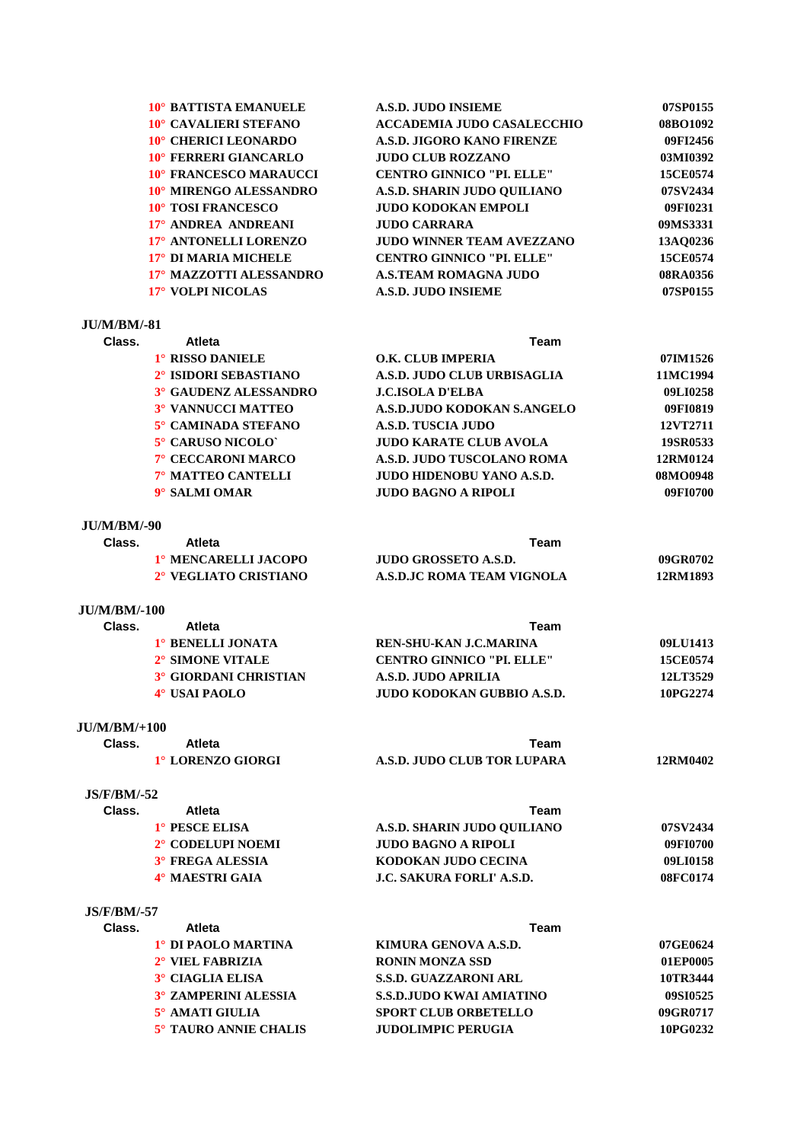| 10° BATTISTA EMANUELE        | <b>A.S.D. JUDO INSIEME</b>        | 07SP0155 |
|------------------------------|-----------------------------------|----------|
| 10° CAVALIERI STEFANO        | <b>ACCADEMIA JUDO CASALECCHIO</b> | 08BO1092 |
| 10° CHERICI LEONARDO         | A.S.D. JIGORO KANO FIRENZE        | 09FI2456 |
| <b>10° FERRERI GIANCARLO</b> | <b>JUDO CLUB ROZZANO</b>          | 03MI0392 |
| 10° FRANCESCO MARAUCCI       | <b>CENTRO GINNICO "PI. ELLE"</b>  | 15CE0574 |
| 10° MIRENGO ALESSANDRO       | A.S.D. SHARIN JUDO OUILIANO       | 07SV2434 |
| <b>10° TOSI FRANCESCO</b>    | <b>JUDO KODOKAN EMPOLI</b>        | 09FI0231 |
| 17° ANDREA ANDREANI          | <b>JUDO CARRARA</b>               | 09MS3331 |
| 17° ANTONELLI LORENZO        | <b>JUDO WINNER TEAM AVEZZANO</b>  | 13AO0236 |
| 17° DI MARIA MICHELE         | <b>CENTRO GINNICO "PI. ELLE"</b>  | 15CE0574 |
| 17° MAZZOTTI ALESSANDRO      | <b>A.S.TEAM ROMAGNA JUDO</b>      | 08RA0356 |
| 17° VOLPI NICOLAS            | A.S.D. JUDO INSIEME               | 07SP0155 |
|                              |                                   |          |

#### **JU/M/BM/-81**

| Class. | <b>Atleta</b>                | Team                             |          |
|--------|------------------------------|----------------------------------|----------|
|        | 1° RISSO DANIELE             | O.K. CLUB IMPERIA                | 07IM1526 |
|        | 2° ISIDORI SEBASTIANO        | A.S.D. JUDO CLUB URBISAGLIA      | 11MC1994 |
|        | <b>3° GAUDENZ ALESSANDRO</b> | <b>J.C.ISOLA D'ELBA</b>          | 09LI0258 |
|        | <b>3° VANNUCCI MATTEO</b>    | A.S.D.JUDO KODOKAN S.ANGELO      | 09FI0819 |
|        | 5° CAMINADA STEFANO          | A.S.D. TUSCIA JUDO               | 12VT2711 |
|        | 5° CARUSO NICOLO`            | <b>JUDO KARATE CLUB AVOLA</b>    | 19SR0533 |
|        | 7° CECCARONI MARCO           | A.S.D. JUDO TUSCOLANO ROMA       | 12RM0124 |
|        | 7° MATTEO CANTELLI           | <b>JUDO HIDENOBU YANO A.S.D.</b> | 08MO0948 |
|        | 9° SALMI OMAR                | <b>JUDO BAGNO A RIPOLI</b>       | 09FI0700 |
|        |                              |                                  |          |

**JU/M/BM/-90 Class. Atleta Team 1° MENCARELLI JACOPO JUDO GROSSETO A.S.D. 09GR0702 2° VEGLIATO CRISTIANO A.S.D.JC ROMA TEAM VIGNOLA 12RM1893**

#### **JU/M/BM/-100**

| Class. | Atleta                       | Team                             |                 |
|--------|------------------------------|----------------------------------|-----------------|
|        | 1° BENELLI JONATA            | REN-SHU-KAN J.C.MARINA           | 09LU1413        |
|        | 2° SIMONE VITALE             | <b>CENTRO GINNICO "PL. ELLE"</b> | <b>15CE0574</b> |
|        | <b>3° GIORDANI CHRISTIAN</b> | A.S.D. JUDO APRILIA              | 12LT3529        |
|        | 4° USAI PAOLO                | JUDO KODOKAN GUBBIO A.S.D.       | 10PG2274        |

#### **JU/M/BM/+100**

| Class. | Atleta            | Team                        |          |
|--------|-------------------|-----------------------------|----------|
|        | 1° LORENZO GIORGI | A.S.D. JUDO CLUB TOR LUPARA | 12RM0402 |

#### **JS/F/BM/-52**

| Class. | Atleta            | Team                             |          |
|--------|-------------------|----------------------------------|----------|
|        | 1° PESCE ELISA    | A.S.D. SHARIN JUDO OUILIANO      | 07SV2434 |
|        | 2° CODELUPI NOEMI | <b>JUDO BAGNO A RIPOLI</b>       | 09FI0700 |
|        | 3° FREGA ALESSIA  | KODOKAN JUDO CECINA              | 09LI0158 |
|        | 4° MAESTRI GAIA   | <b>J.C. SAKURA FORLI' A.S.D.</b> | 08FC0174 |

#### **JS/F/BM/-57**

| Class. | <b>Atleta</b><br>Team       |                                 |          |
|--------|-----------------------------|---------------------------------|----------|
|        | 1° DI PAOLO MARTINA         | KIMURA GENOVA A.S.D.            | 07GE0624 |
|        | 2° VIEL FABRIZIA            | <b>RONIN MONZA SSD</b>          | 01EP0005 |
|        | 3° CIAGLIA ELISA            | <b>S.S.D. GUAZZARONI ARL</b>    | 10TR3444 |
|        | <b>3° ZAMPERINI ALESSIA</b> | <b>S.S.D.JUDO KWAI AMIATINO</b> | 09SI0525 |
|        | 5° AMATI GIULIA             | <b>SPORT CLUB ORBETELLO</b>     | 09GR0717 |
|        | 5° TAURO ANNIE CHALIS       | <b>JUDOLIMPIC PERUGIA</b>       | 10PG0232 |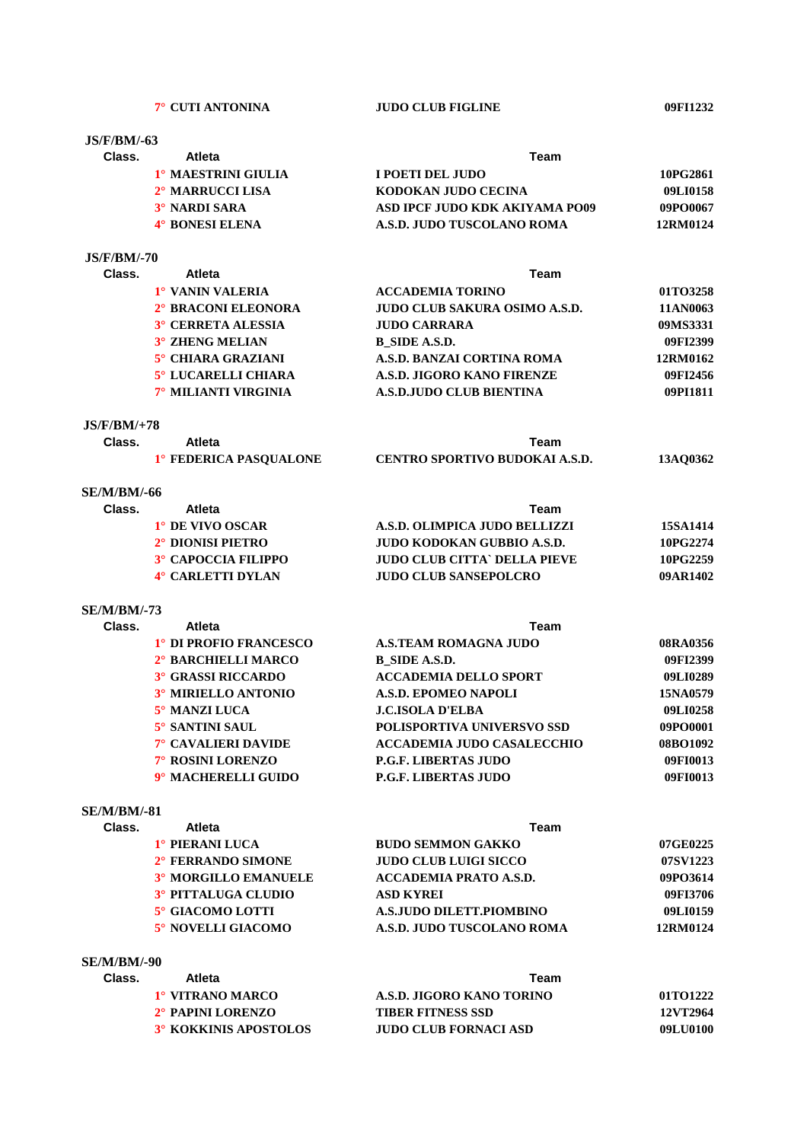**JS/F/BM/-63**

# **Class. Atleta Team 1° MAESTRINI GIULIA I POETI DEL JUDO 10PG2861 2° MARRUCCI LISA KODOKAN JUDO CECINA 09LI0158 3° NARDI SARA ASD IPCF JUDO KDK AKIYAMA PO09** 09PO0067 **4° BONESI ELENA A.S.D. JUDO TUSCOLANO ROMA 12RM0124**

#### **JS/F/BM/-70**

| Class. | <b>Atleta</b><br>Team      |                                      |          |  |
|--------|----------------------------|--------------------------------------|----------|--|
|        | 1° VANIN VALERIA           | <b>ACCADEMIA TORINO</b>              | 01TO3258 |  |
|        | 2° BRACONI ELEONORA        | <b>JUDO CLUB SAKURA OSIMO A.S.D.</b> | 11AN0063 |  |
|        | <b>3° CERRETA ALESSIA</b>  | <b>JUDO CARRARA</b>                  | 09MS3331 |  |
|        | <b>3° ZHENG MELIAN</b>     | B SIDE A.S.D.                        | 09FI2399 |  |
|        | 5° CHIARA GRAZIANI         | A.S.D. BANZAI CORTINA ROMA           | 12RM0162 |  |
|        | <b>5° LUCARELLI CHIARA</b> | A.S.D. JIGORO KANO FIRENZE           | 09FI2456 |  |
|        | 7° MILIANTI VIRGINIA       | <b>A.S.D.JUDO CLUB BIENTINA</b>      | 09PI1811 |  |
|        |                            |                                      |          |  |

#### **JS/F/BM/+78**

| Class. | Atleta                 | Team                                  |          |
|--------|------------------------|---------------------------------------|----------|
|        | 1° FEDERICA PASOUALONE | <b>CENTRO SPORTIVO BUDOKAI A.S.D.</b> | 13AO0362 |

### **SE/M/BM/-66**

| Class. | Atleta                     | Team                          |          |
|--------|----------------------------|-------------------------------|----------|
|        | <sup>1</sup> DE VIVO OSCAR | A.S.D. OLIMPICA JUDO BELLIZZI | 15SA1414 |
|        | 2° DIONISI PIETRO          | JUDO KODOKAN GUBBIO A.S.D.    | 10PG2274 |
|        | 3° CAPOCCIA FILIPPO        | JUDO CLUB CITTA` DELLA PIEVE  | 10PG2259 |
|        | 4° CARLETTI DYLAN          | <b>JUDO CLUB SANSEPOLCRO</b>  | 09AR1402 |
|        |                            |                               |          |

#### **SE/M/BM/-73**

| Class. | <b>Atleta</b><br>Team      |                                   |          |
|--------|----------------------------|-----------------------------------|----------|
|        | 1° DI PROFIO FRANCESCO     | <b>A.S.TEAM ROMAGNA JUDO</b>      | 08RA0356 |
|        | 2° BARCHIELLI MARCO        | <b>B_SIDE A.S.D.</b>              | 09FI2399 |
|        | <b>3° GRASSI RICCARDO</b>  | <b>ACCADEMIA DELLO SPORT</b>      | 09LI0289 |
|        | 3° MIRIELLO ANTONIO        | A.S.D. EPOMEO NAPOLI              | 15NA0579 |
|        | 5° MANZI LUCA              | <b>J.C.ISOLA D'ELBA</b>           | 09LI0258 |
|        | 5° SANTINI SAUL            | POLISPORTIVA UNIVERSVO SSD        | 09PO0001 |
|        | <b>7° CAVALIERI DAVIDE</b> | <b>ACCADEMIA JUDO CASALECCHIO</b> | 08BO1092 |
|        | 7° ROSINI LORENZO          | <b>P.G.F. LIBERTAS JUDO</b>       | 09FI0013 |
|        | 9° MACHERELLI GUIDO        | <b>P.G.F. LIBERTAS JUDO</b>       | 09FI0013 |

#### **SE/M/BM/-81**

| Class. | Atleta                      | Team                          |          |  |
|--------|-----------------------------|-------------------------------|----------|--|
|        | 1° PIERANI LUCA             | <b>BUDO SEMMON GAKKO</b>      | 07GE0225 |  |
|        | 2° FERRANDO SIMONE          | <b>JUDO CLUB LUIGI SICCO</b>  | 07SV1223 |  |
|        | <b>3º MORGILLO EMANUELE</b> | <b>ACCADEMIA PRATO A.S.D.</b> | 09PO3614 |  |
|        | 3° PITTALUGA CLUDIO         | <b>ASD KYREI</b>              | 09FI3706 |  |
|        | 5° GIACOMO LOTTI            | A.S.JUDO DILETT.PIOMBINO      | 09LI0159 |  |
|        | 5° NOVELLI GIACOMO          | A.S.D. JUDO TUSCOLANO ROMA    | 12RM0124 |  |

# **SE/M/BM/-90**

| Class. | Atleta                        | Team                         |                 |  |
|--------|-------------------------------|------------------------------|-----------------|--|
|        | 1° VITRANO MARCO              | A.S.D. JIGORO KANO TORINO    | 01TO1222        |  |
|        | 2 <sup>°</sup> PAPINI LORENZO | <b>TIBER FITNESS SSD</b>     | <b>12VT2964</b> |  |
|        | 3° KOKKINIS APOSTOLOS         | <b>JUDO CLUB FORNACI ASD</b> | 09LU0100        |  |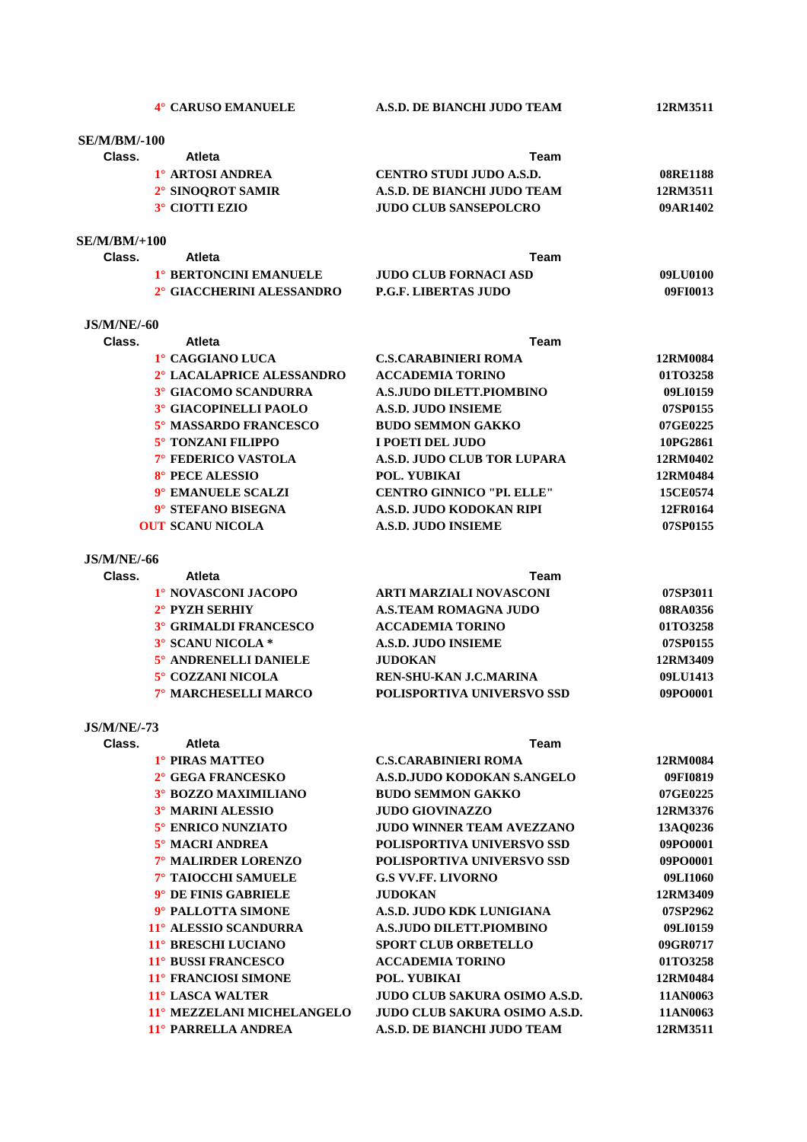| 4° CARUSO EMANUELE                       | A.S.D. DE BIANCHI JUDO TEAM                          | 12RM3511             |
|------------------------------------------|------------------------------------------------------|----------------------|
|                                          |                                                      |                      |
| <b>SE/M/BM/-100</b>                      |                                                      |                      |
| Class.<br>Atleta                         | Team                                                 |                      |
| 1° ARTOSI ANDREA                         | <b>CENTRO STUDI JUDO A.S.D.</b>                      | 08RE1188             |
| 2° SINOQROT SAMIR                        | A.S.D. DE BIANCHI JUDO TEAM                          | 12RM3511             |
| 3° CIOTTI EZIO                           | <b>JUDO CLUB SANSEPOLCRO</b>                         | 09AR1402             |
| $SE/M/BM/+100$                           |                                                      |                      |
| Class.<br>Atleta                         | Team                                                 |                      |
| 1° BERTONCINI EMANUELE                   | <b>JUDO CLUB FORNACI ASD</b>                         | 09LU0100             |
| 2° GIACCHERINI ALESSANDRO                | P.G.F. LIBERTAS JUDO                                 | 09FI0013             |
| <b>JS/M/NE/-60</b>                       |                                                      |                      |
| Class.<br><b>Atleta</b>                  | Team                                                 |                      |
| 1° CAGGIANO LUCA                         | <b>C.S.CARABINIERI ROMA</b>                          | 12RM0084             |
| 2° LACALAPRICE ALESSANDRO                | <b>ACCADEMIA TORINO</b>                              | 01TO3258             |
| 3° GIACOMO SCANDURRA                     | A.S.JUDO DILETT.PIOMBINO                             | 09LI0159             |
| 3° GIACOPINELLI PAOLO                    | <b>A.S.D. JUDO INSIEME</b>                           | 07SP0155             |
| 5° MASSARDO FRANCESCO                    | <b>BUDO SEMMON GAKKO</b>                             | 07GE0225             |
| 5° TONZANI FILIPPO                       | I POETI DEL JUDO                                     | 10PG2861             |
| 7° FEDERICO VASTOLA                      | A.S.D. JUDO CLUB TOR LUPARA                          | 12RM0402             |
| 8° PECE ALESSIO                          | POL. YUBIKAI                                         | 12RM0484             |
| 9° EMANUELE SCALZI                       | <b>CENTRO GINNICO "PI. ELLE"</b>                     | 15CE0574             |
| 9° STEFANO BISEGNA                       | A.S.D. JUDO KODOKAN RIPI                             | 12FR0164             |
| <b>OUT SCANU NICOLA</b>                  | <b>A.S.D. JUDO INSIEME</b>                           | 07SP0155             |
| <b>JS/M/NE/-66</b>                       |                                                      |                      |
| <b>Atleta</b><br>Class.                  | Team                                                 |                      |
| 1° NOVASCONI JACOPO                      | <b>ARTI MARZIALI NOVASCONI</b>                       | 07SP3011             |
| 2° PYZH SERHIY                           | <b>A.S.TEAM ROMAGNA JUDO</b>                         | 08RA0356             |
| <b>3° GRIMALDI FRANCESCO</b>             | <b>ACCADEMIA TORINO</b>                              | 01TO3258             |
| 3° SCANU NICOLA *                        | <b>A.S.D. JUDO INSIEME</b>                           | 07SP0155             |
| 5° ANDRENELLI DANIELE                    | <b>JUDOKAN</b>                                       | 12RM3409             |
| 5° COZZANI NICOLA                        | REN-SHU-KAN J.C.MARINA                               | 09LU1413             |
| 7° MARCHESELLI MARCO                     | POLISPORTIVA UNIVERSVO SSD                           | 09PO0001             |
| <b>JS/M/NE/-73</b>                       |                                                      |                      |
| Class.<br><b>Atleta</b>                  | <b>Team</b>                                          |                      |
| 1° PIRAS MATTEO                          | <b>C.S.CARABINIERI ROMA</b>                          | 12RM0084             |
| 2° GEGA FRANCESKO                        | A.S.D. JUDO KODOKAN S.ANGELO                         | 09FI0819             |
| 3° BOZZO MAXIMILIANO                     | <b>BUDO SEMMON GAKKO</b>                             | 07GE0225             |
| <b>3° MARINI ALESSIO</b>                 | <b>JUDO GIOVINAZZO</b>                               | 12RM3376             |
| 5° ENRICO NUNZIATO                       | <b>JUDO WINNER TEAM AVEZZANO</b>                     | 13AQ0236             |
| 5° MACRI ANDREA                          | POLISPORTIVA UNIVERSVO SSD                           | 09PO0001             |
| 7° MALIRDER LORENZO                      | POLISPORTIVA UNIVERSVO SSD                           | 09PO0001             |
| 7° TAIOCCHI SAMUELE                      | <b>G.S VV.FF. LIVORNO</b>                            | 09LI1060             |
| 9° DE FINIS GABRIELE                     | <b>JUDOKAN</b>                                       | 12RM3409             |
| 9° PALLOTTA SIMONE                       | A.S.D. JUDO KDK LUNIGIANA                            | 07SP2962             |
| 11° ALESSIO SCANDURRA                    | A.S.JUDO DILETT.PIOMBINO                             | 09LI0159             |
| 11° BRESCHI LUCIANO                      | <b>SPORT CLUB ORBETELLO</b>                          | 09GR0717             |
| 11° BUSSI FRANCESCO                      | <b>ACCADEMIA TORINO</b>                              | 01TO3258             |
| 11° FRANCIOSI SIMONE<br>11° LASCA WALTER | POL. YUBIKAI<br><b>JUDO CLUB SAKURA OSIMO A.S.D.</b> | 12RM0484<br>11AN0063 |
| 11° MEZZELANI MICHELANGELO               | <b>JUDO CLUB SAKURA OSIMO A.S.D.</b>                 | 11AN0063             |
| 11° PARRELLA ANDREA                      | A.S.D. DE BIANCHI JUDO TEAM                          | 12RM3511             |
|                                          |                                                      |                      |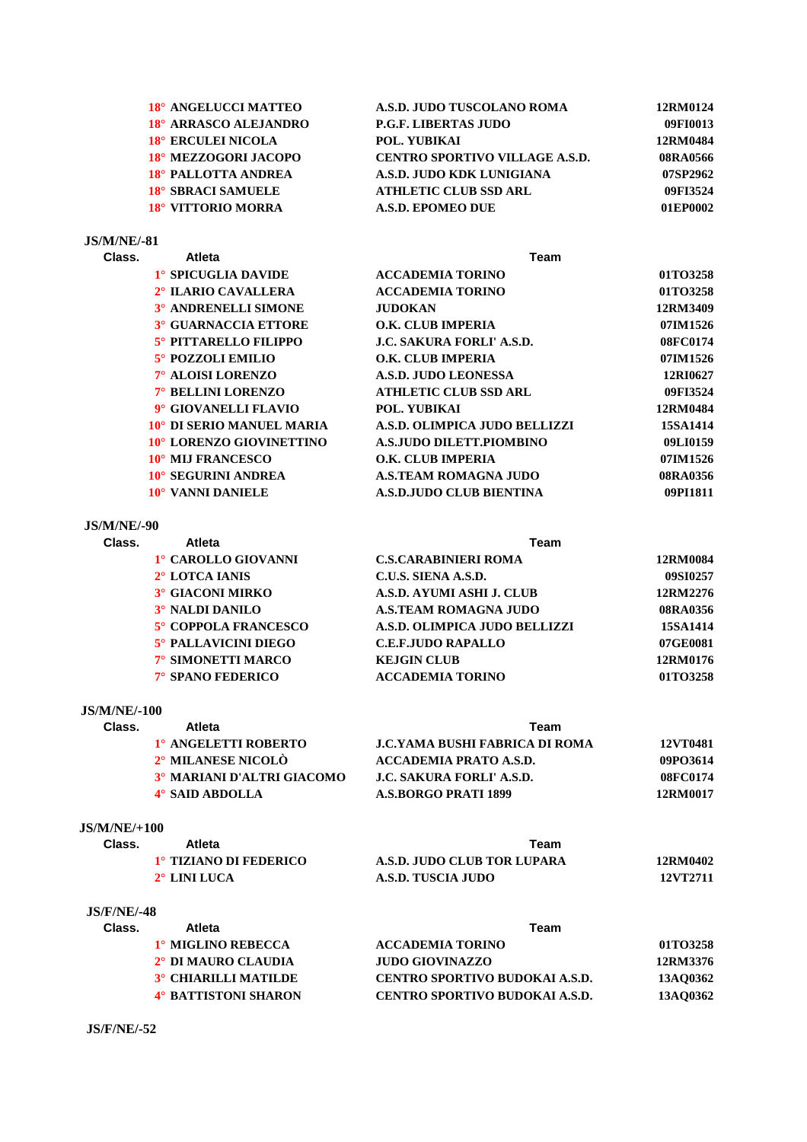| 18° ANGELUCCI MATTEO  | A.S.D. JUDO TUSCOLANO ROMA            | 12RM0124 |
|-----------------------|---------------------------------------|----------|
| 18° ARRASCO ALEJANDRO | <b>P.G.F. LIBERTAS JUDO</b>           | 09FI0013 |
| 18° ERCULEI NICOLA    | POL. YUBIKAI                          | 12RM0484 |
| 18° MEZZOGORI JACOPO  | <b>CENTRO SPORTIVO VILLAGE A.S.D.</b> | 08RA0566 |
| 18° PALLOTTA ANDREA   | A.S.D. JUDO KDK LUNIGIANA             | 07SP2962 |
| 18° SBRACI SAMUELE    | <b>ATHLETIC CLUB SSD ARL</b>          | 09FI3524 |
| 18° VITTORIO MORRA    | A.S.D. EPOMEO DUE                     | 01EP0002 |
|                       |                                       |          |

# **JS/M/NE/-81**

| Class. | <b>Atleta</b><br>Team       |                                  |          |
|--------|-----------------------------|----------------------------------|----------|
|        | 1° SPICUGLIA DAVIDE         | <b>ACCADEMIA TORINO</b>          | 01TO3258 |
|        | 2° ILARIO CAVALLERA         | <b>ACCADEMIA TORINO</b>          | 01TO3258 |
|        | 3° ANDRENELLI SIMONE        | <b>JUDOKAN</b>                   | 12RM3409 |
|        | <b>3° GUARNACCIA ETTORE</b> | <b>O.K. CLUB IMPERIA</b>         | 07IM1526 |
|        | 5° PITTARELLO FILIPPO       | <b>J.C. SAKURA FORLI' A.S.D.</b> | 08FC0174 |
|        | 5° POZZOLI EMILIO           | <b>O.K. CLUB IMPERIA</b>         | 07IM1526 |
|        | 7° ALOISI LORENZO           | A.S.D. JUDO LEONESSA             | 12RI0627 |
|        | 7° BELLINI LORENZO          | <b>ATHLETIC CLUB SSD ARL</b>     | 09FI3524 |
|        | 9° GIOVANELLI FLAVIO        | POL. YUBIKAI                     | 12RM0484 |
|        | 10° DI SERIO MANUEL MARIA   | A.S.D. OLIMPICA JUDO BELLIZZI    | 15SA1414 |
|        | 10° LORENZO GIOVINETTINO    | A.S. JUDO DILETT.PIOMBINO        | 09LI0159 |
|        | 10° MIJ FRANCESCO           | O.K. CLUB IMPERIA                | 07IM1526 |
|        | 10° SEGURINI ANDREA         | <b>A.S.TEAM ROMAGNA JUDO</b>     | 08RA0356 |
|        | 10° VANNI DANIELE           | <b>A.S.D.JUDO CLUB BIENTINA</b>  | 09PI1811 |
|        |                             |                                  |          |

# **JS/M/NE/-90**

| Class. | Atleta                  | Team                          |          |  |
|--------|-------------------------|-------------------------------|----------|--|
|        | 1° CAROLLO GIOVANNI     | <b>C.S.CARABINIERI ROMA</b>   | 12RM0084 |  |
|        | 2° LOTCA IANIS          | C.U.S. SIENA A.S.D.           | 09SI0257 |  |
|        | <b>3° GIACONI MIRKO</b> | A.S.D. AYUMI ASHI J. CLUB     | 12RM2276 |  |
|        | 3° NALDI DANILO         | A.S.TEAM ROMAGNA JUDO         | 08RA0356 |  |
|        | 5° COPPOLA FRANCESCO    | A.S.D. OLIMPICA JUDO BELLIZZI | 15SA1414 |  |
|        | 5° PALLAVICINI DIEGO    | <b>C.E.F.JUDO RAPALLO</b>     | 07GE0081 |  |
|        | 7° SIMONETTI MARCO      | <b>KEJGIN CLUB</b>            | 12RM0176 |  |
|        | 7° SPANO FEDERICO       | <b>ACCADEMIA TORINO</b>       | 01TO3258 |  |
|        |                         |                               |          |  |

### **JS/M/NE/-100**

| Class. | <b>Atleta</b>              | Team                                   |          |
|--------|----------------------------|----------------------------------------|----------|
|        | 1° ANGELETTI ROBERTO       | <b>.I.C.YAMA BUSHI FABRICA DI ROMA</b> | 12VT0481 |
|        | 2° MILANESE NICOLÒ         | ACCADEMIA PRATO A.S.D.                 | 09PO3614 |
|        | 3° MARIANI D'ALTRI GIACOMO | <b>J.C. SAKURA FORLI' A.S.D.</b>       | 08FC0174 |
|        | 4° SAID ABDOLLA            | A.S.BORGO PRATI 1899                   | 12RM0017 |

### **JS/M/NE/+100**

| Class. | Atleta                 | Team                        |          |
|--------|------------------------|-----------------------------|----------|
|        | 1° TIZIANO DI FEDERICO | A.S.D. JUDO CLUB TOR LUPARA | 12RM0402 |
|        | $2^\circ$ LINI LUCA    | A.S.D. TUSCIA JUDO          | 12VT2711 |

### **JS/F/NE/-48**

| Class. | Atleta                          | Team                                  |          |  |
|--------|---------------------------------|---------------------------------------|----------|--|
|        | 1º MIGLINO REBECCA              | <b>ACCADEMIA TORINO</b>               | 01TO3258 |  |
|        | 2 <sup>°</sup> DI MAURO CLAUDIA | JUDO GIOVINAZZO                       | 12RM3376 |  |
|        | <b>3° CHIARILLI MATILDE</b>     | <b>CENTRO SPORTIVO BUDOKAI A.S.D.</b> | 13AO0362 |  |
|        | <b>4° BATTISTONI SHARON</b>     | <b>CENTRO SPORTIVO BUDOKAI A.S.D.</b> | 13AO0362 |  |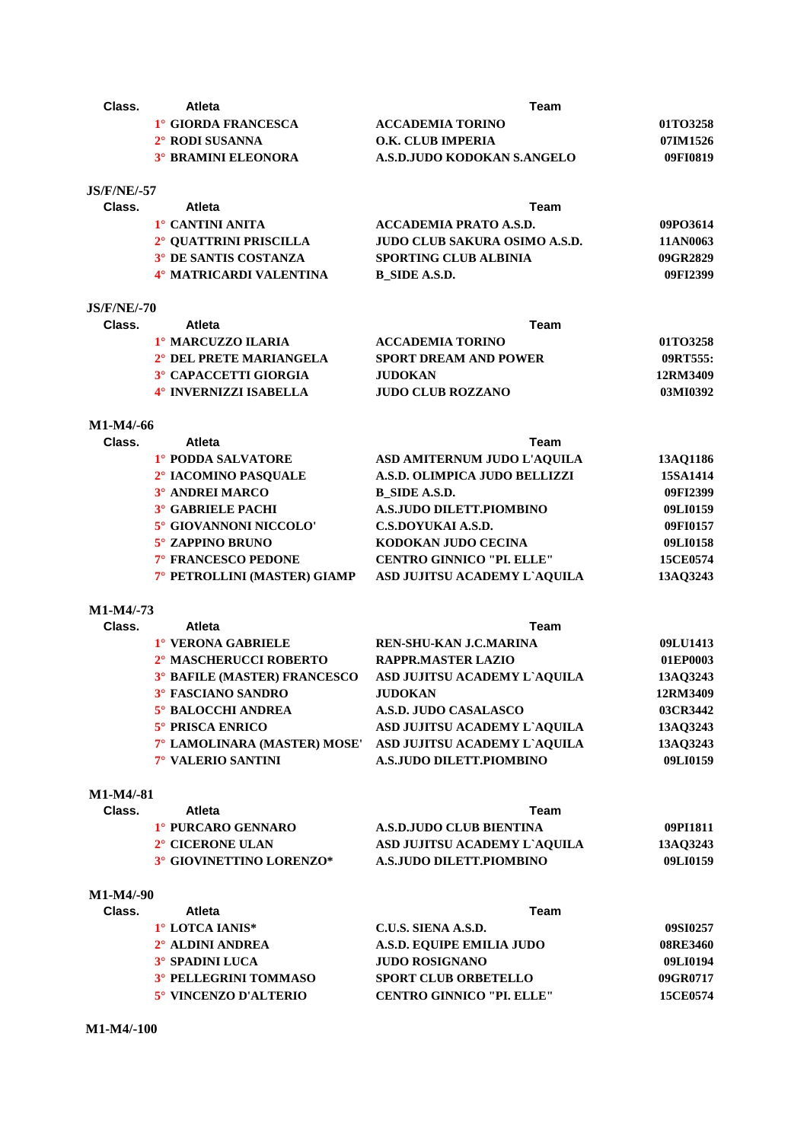| Class.             | Atleta                           | <b>Team</b>                      |          |
|--------------------|----------------------------------|----------------------------------|----------|
|                    | 1° GIORDA FRANCESCA              | <b>ACCADEMIA TORINO</b>          | 01TO3258 |
|                    | 2° RODI SUSANNA                  | <b>O.K. CLUB IMPERIA</b>         | 07IM1526 |
|                    | <b>3° BRAMINI ELEONORA</b>       | A.S.D.JUDO KODOKAN S.ANGELO      | 09FI0819 |
| <b>JS/F/NE/-57</b> |                                  |                                  |          |
| Class.             | <b>Atleta</b>                    | Team                             |          |
|                    | 1° CANTINI ANITA                 | <b>ACCADEMIA PRATO A.S.D.</b>    | 09PO3614 |
|                    | 2° QUATTRINI PRISCILLA           | JUDO CLUB SAKURA OSIMO A.S.D.    | 11AN0063 |
|                    | <sup>3°</sup> DE SANTIS COSTANZA | <b>SPORTING CLUB ALBINIA</b>     | 09GR2829 |
|                    | 4° MATRICARDI VALENTINA          | <b>B_SIDE A.S.D.</b>             | 09FI2399 |
| <b>JS/F/NE/-70</b> |                                  |                                  |          |
| Class.             | <b>Atleta</b>                    | Team                             |          |
|                    | 1° MARCUZZO ILARIA               | <b>ACCADEMIA TORINO</b>          | 01TO3258 |
|                    | 2° DEL PRETE MARIANGELA          | <b>SPORT DREAM AND POWER</b>     | 09RT555: |
|                    | <sup>3°</sup> CAPACCETTI GIORGIA | <b>JUDOKAN</b>                   | 12RM3409 |
|                    | 4° INVERNIZZI ISABELLA           | <b>JUDO CLUB ROZZANO</b>         | 03MI0392 |
| M1-M4/-66          |                                  |                                  |          |
| Class.             | Atleta                           | Team                             |          |
|                    | 1° PODDA SALVATORE               | ASD AMITERNUM JUDO L'AQUILA      | 13AQ1186 |
|                    | <sup>2°</sup> IACOMINO PASQUALE  | A.S.D. OLIMPICA JUDO BELLIZZI    | 15SA1414 |
|                    | 3° ANDREI MARCO                  | <b>B_SIDE A.S.D.</b>             | 09FI2399 |
|                    | <b>3° GABRIELE PACHI</b>         | <b>A.S.JUDO DILETT.PIOMBINO</b>  | 09LI0159 |
|                    | 5° GIOVANNONI NICCOLO'           | C.S.DOYUKAI A.S.D.               | 09FI0157 |
|                    | 5° ZAPPINO BRUNO                 | KODOKAN JUDO CECINA              | 09LI0158 |
|                    | 7° FRANCESCO PEDONE              | <b>CENTRO GINNICO "PI. ELLE"</b> | 15CE0574 |
|                    | 7° PETROLLINI (MASTER) GIAMP     | ASD JUJITSU ACADEMY L'AQUILA     | 13AQ3243 |
| M1-M4/-73          |                                  |                                  |          |
| Class.             | <b>Atleta</b>                    | Team                             |          |
|                    | 1° VERONA GABRIELE               | REN-SHU-KAN J.C.MARINA           | 09LU1413 |
|                    | 2° MASCHERUCCI ROBERTO           | <b>RAPPR.MASTER LAZIO</b>        | 01EP0003 |
|                    | 3° BAFILE (MASTER) FRANCESCO     | ASD JUJITSU ACADEMY L'AQUILA     | 13AQ3243 |
|                    | 3° FASCIANO SANDRO               | <b>JUDOKAN</b>                   | 12RM3409 |
|                    | 5° BALOCCHI ANDREA               | A.S.D. JUDO CASALASCO            | 03CR3442 |
|                    | 5° PRISCA ENRICO                 | ASD JUJITSU ACADEMY L'AQUILA     | 13AQ3243 |
|                    | 7° LAMOLINARA (MASTER) MOSE'     | ASD JUJITSU ACADEMY L'AQUILA     | 13AQ3243 |
|                    | 7° VALERIO SANTINI               | <b>A.S.JUDO DILETT.PIOMBINO</b>  | 09LI0159 |
| M1-M4/-81          |                                  |                                  |          |
| Class.             | <b>Atleta</b>                    | <b>Team</b>                      |          |
|                    | 1° PURCARO GENNARO               | <b>A.S.D.JUDO CLUB BIENTINA</b>  | 09PI1811 |
|                    | 2° CICERONE ULAN                 | ASD JUJITSU ACADEMY L'AQUILA     | 13AQ3243 |
|                    | 3° GIOVINETTINO LORENZO*         | <b>A.S.JUDO DILETT.PIOMBINO</b>  | 09LI0159 |
| $M1-M4/-90$        |                                  |                                  |          |
| Class.             | <b>Atleta</b>                    | <b>Team</b>                      |          |
|                    | 1° LOTCA IANIS*                  | C.U.S. SIENA A.S.D.              | 09SI0257 |
|                    | 2° ALDINI ANDREA                 | A.S.D. EQUIPE EMILIA JUDO        | 08RE3460 |
|                    | <b>3° SPADINI LUCA</b>           | <b>JUDO ROSIGNANO</b>            | 09LI0194 |
|                    | 3° PELLEGRINI TOMMASO            | <b>SPORT CLUB ORBETELLO</b>      | 09GR0717 |
|                    | 5° VINCENZO D'ALTERIO            | <b>CENTRO GINNICO "PI. ELLE"</b> | 15CE0574 |